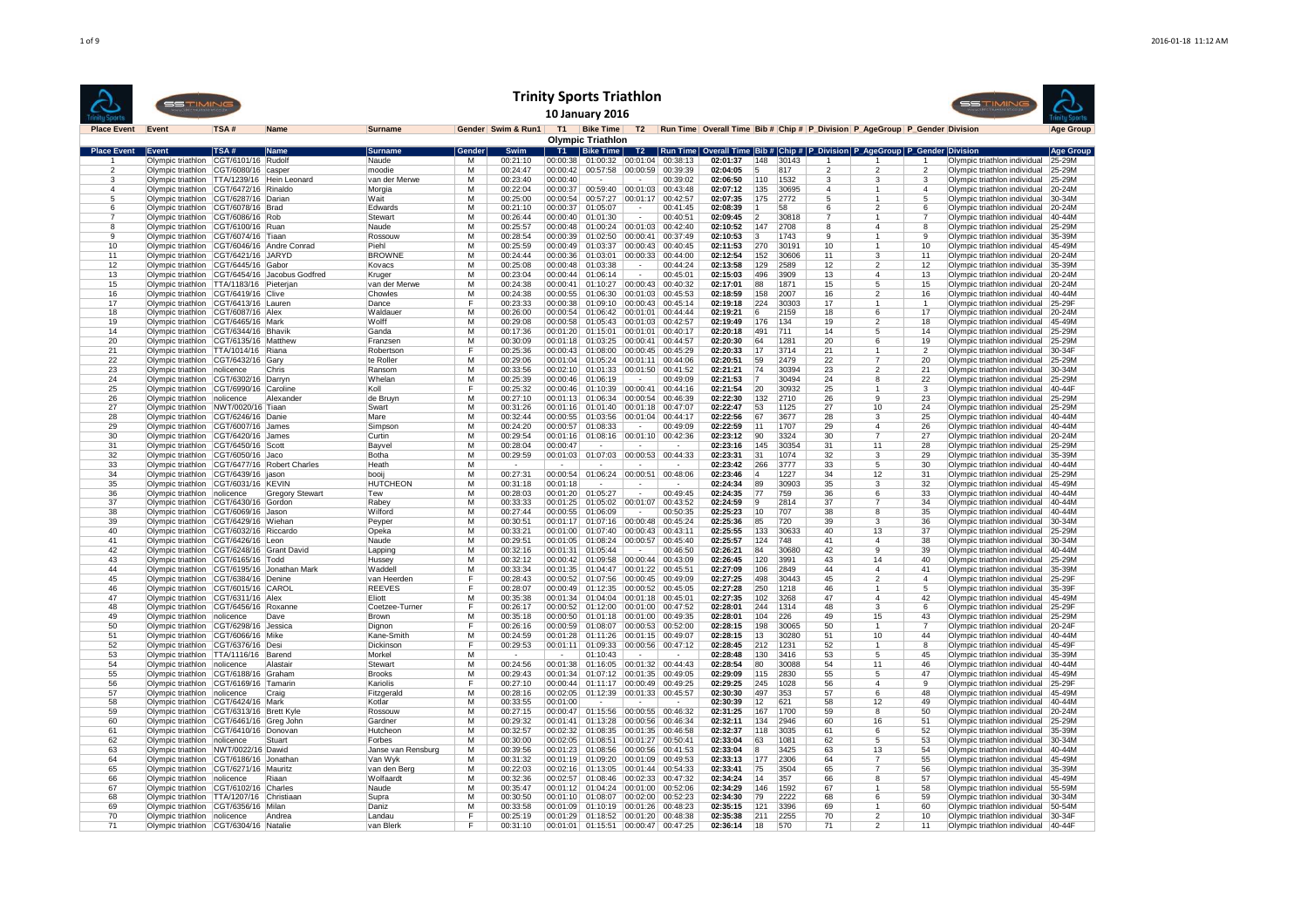|                       | <b>SSTIMING</b>                                                                     |                     |                                               |                         |                         |                       | <b>Trinity Sports Triathlon</b> | <b>10 January 2016</b>                     |                          |                      |                      |            |               |               |                                                                               |                         | <b>SSTIMING</b>                                                     |                      |
|-----------------------|-------------------------------------------------------------------------------------|---------------------|-----------------------------------------------|-------------------------|-------------------------|-----------------------|---------------------------------|--------------------------------------------|--------------------------|----------------------|----------------------|------------|---------------|---------------|-------------------------------------------------------------------------------|-------------------------|---------------------------------------------------------------------|----------------------|
| <b>Place Event</b>    | Event                                                                               | TSA#                | <b>Name</b>                                   | Surname                 |                         | Gender Swim & Run1 T1 |                                 | <b>Bike Time</b>                           |                          |                      |                      |            |               |               | T2 Run Time Overall Time Bib # Chip # P Division P AgeGroup P Gender Division |                         |                                                                     | <b>Age Group</b>     |
| <b>Place Event</b>    | Event                                                                               | TSA#                | Name                                          | <b>Surname</b>          | iender                  | Swim                  |                                 | <b>Olympic Triathlon</b><br>T1   Bike Time |                          | T2   Run Time        |                      |            |               |               | Overall Time   Bib #   Chip #   P_Division   P_AgeGroup   P_Gender   Division |                         |                                                                     | Age Group            |
|                       | Olympic triathlon CGT/6101/16 Rudolf                                                |                     |                                               | Naude                   | М                       | 00:21:10              | 00:00:38                        | 01:00:32                                   |                          | 00:01:04 00:38:13    | 02:01:37             | 148        | 30143         |               |                                                                               |                         | Olympic triathlon individual                                        | 25-29M               |
| $\overline{2}$        | Olympic triathlon CGT/6080/16 casper                                                |                     |                                               | moodie                  | м                       | 00:24:47              | 00:00:42                        | 00:57:58                                   | 00:00:59                 | 00:39:39             | 02:04:05             | 5          | 817           | $\mathcal{P}$ | $\mathfrak{p}$                                                                | $\mathfrak{p}$          | Olympic triathlon individual                                        | 25-29M               |
| 3                     | Olympic triathlon   TTA/1239/16   Hein Leonard                                      |                     |                                               | van der Merwe           | $\overline{\mathsf{M}}$ | 00:23:40              | 00:00:40                        |                                            |                          | 00:39:02             | 02:06:50             | 110        | 1532          | 3             | 3                                                                             | $\overline{\mathbf{3}}$ | Olympic triathlon individual                                        | 25-29M               |
| $\boldsymbol{\Delta}$ | Olympic triathlon CGT/6472/16 Rinaldo                                               |                     |                                               | Morgia                  | M                       | 00:22:04              | 00:00:37                        | 00:59:40                                   |                          | 00:01:03 00:43:48    | 02:07:12             | 135        | 30695         |               |                                                                               | 4                       | Olympic triathlon individual                                        | 20-24M               |
| 5<br>6                | Olympic triathlon   CGT/6287/16   Darian                                            |                     |                                               | Wait                    | м                       | 00:25:00              | 00:00:54                        | 00:57:27                                   | 00:01:17                 | 00:42:57             | 02:07:35             | 175        | 2772          |               |                                                                               | 5                       | Olympic triathlon individual                                        | 30-34M               |
| 7                     | Olympic triathlon CGT/6078/16 Brad                                                  |                     |                                               | Edwards                 | м                       | 00:21:10              |                                 | 00:00:37   01:05:07                        |                          | 00:41:45             | 02:08:39             |            | 58            |               | $\mathfrak{p}$                                                                | 6                       | Olympic triathlon individual                                        | 20-24M               |
| -8                    | Olympic triathlon CGT/6086/16 Rob<br>Olympic triathlon CGT/6100/16 Ruan             |                     |                                               | Stewart<br>Naude        | м<br>М                  | 00:26:44<br>00:25:57  | 00:00:40<br>00:00:48            | 01:01:30<br>01:00:24                       | 00:01:03                 | 00:40:51<br>00:42:40 | 02:09:45<br>02:10:52 | 12<br>147  | 30818<br>2708 | 8             | 1<br>4                                                                        | 7<br>8                  | Olympic triathlon individual<br>Olympic triathlon individual        | 40-44M<br>25-29M     |
| 9                     | Olympic triathlon CGT/6074/16 Tiaan                                                 |                     |                                               | Rossouw                 | М                       | 00:28:54              | 00:00:39                        | 01:02:50                                   | 00:00:41                 | 00:37:49             | 02:10:53             | 3          | 1743          | 9             | 1                                                                             | 9                       | Olympic triathlon individual                                        | 35-39M               |
| 10                    | Olympic triathlon   CGT/6046/16   Andre Conrad                                      |                     |                                               | Piehl                   | M                       | 00:25:59              | 00:00:49                        | 01:03:37                                   | 00:00:43                 | 00:40:45             | 02:11:53             | 270        | 30191         | 10            | $\mathbf{1}$                                                                  | 10                      | Olympic triathlon individual                                        | 45-49M               |
| 11                    | Olympic triathlon   CGT/6421/16   JARYD                                             |                     |                                               | <b>BROWNE</b>           | м                       | 00:24:44              | 00:00:36                        | 01:03:01                                   | 00:00:33                 | 00:44:00             | 02:12:54             | 152        | 30606         | 11            | 3                                                                             | 11                      | Olympic triathlon individual                                        | 20-24M               |
| 12                    | Olympic triathlon   CGT/6445/16 Gabor                                               |                     |                                               | Kovacs                  | M                       | 00:25:08              | 00:00:48                        | 01:03:38                                   |                          | 00:44:24             | 02:13:58             | 129        | 2589          | 12            | $\mathfrak{p}$                                                                | 12                      | Olympic triathlon individual                                        | $35-39M$             |
| 13                    |                                                                                     |                     | Olympic triathlon CGT/6454/16 Jacobus Godfred | Kruger                  | M                       | 00:23:04              | 00.00144                        | 01:06:14                                   |                          | 00:45:01             | 02:15:03             | 496        | 3909          | 13            | $\Delta$                                                                      | 13                      | Olympic triathlon individual                                        | 20-24M               |
| 15                    | Olympic triathlon   TTA/1183/16   Pieterjan                                         |                     |                                               | van der Merwe           | М                       | 00:24:38              | 00:00:41                        | 01:10:27                                   | 00:00:43                 | 00:40:32             | 02:17:01             | 88         | 1871          | 15            | 5                                                                             | 15                      | Olympic triathlon individual                                        | $20-24M$             |
| 16                    | Olympic triathlon CGT/6419/16 Clive                                                 |                     |                                               | Chowles                 | М                       | 00:24:38              | 00:00:55                        | 01:06:30                                   |                          | 00:01:03 00:45:53    | 02:18:59             | 158        | 2007          | 16            | $\overline{2}$                                                                | 16                      | Olympic triathlon individual                                        | 40-44M               |
| 17                    | Olympic triathlon CGT/6413/16 Lauren                                                |                     |                                               | Dance                   | F                       | 00:23:33              |                                 | 00:00:38 01:09:10                          |                          | 00:00:43 00:45:14    | 02:19:18             | 224        | 30303         | 17            | 1                                                                             | $\overline{1}$          | Olympic triathlon individual                                        | 25-29F               |
| 18<br>19              | Olympic triathlon CGT/6087/16 Alex                                                  |                     |                                               | <b>Waldaue</b><br>Wolff | M<br>М                  | 00:26:00<br>00:29:08  | 00:00:58                        | 00:00:54 01:06:42<br>01:05:43              | 00:01:01<br>00:01:03     | 00:44:44<br>00:42:57 | 02:19:21<br>02:19:49 | 6<br>176   | 2159<br>134   | 18<br>19      | 6<br>$\mathfrak{p}$                                                           | 17<br>18                | Olympic triathlon individual                                        | $20-24M$<br>45-49M   |
| 14                    | Olympic triathlon CGT/6465/16 Mark<br>Olympic triathlon CGT/6344/16 Bhavik          |                     |                                               | Ganda                   | М                       | 00:17:36              | 00:01:20                        | 01:15:01                                   | 00:01:01                 | 00:40:17             | 02:20:18             | 491        | 711           | 14            | 5                                                                             | 14                      | Olympic triathlon individual<br>Olympic triathlon individual        | 25-29M               |
| 20                    | Olympic triathlon CGT/6135/16 Matthew                                               |                     |                                               | Franzsen                | М                       | 00:30:09              | 00:01:18                        | 01:03:25                                   | 00:00:41                 | 00:44:57             | 02:20:30             | 64         | 1281          | 20            | 6                                                                             | 19                      | Olympic triathlon individual                                        | 25-29M               |
| 21                    | Olympic triathlon   TTA/1014/16   Riana                                             |                     |                                               | Robertson               | F                       | 00:25:36              | 00:00:43                        | 01:08:00                                   | 00:00:45                 | 00:45:29             | 02:20:33             | 17         | 3714          | 21            |                                                                               | $\mathcal{P}$           | Olympic triathlon individual                                        | 30-34F               |
| $\overline{22}$       | Olympic triathlon CGT/6432/16 Gary                                                  |                     |                                               | te Roller               | $\overline{\mathsf{M}}$ | 00:29:06              | 00:01:04                        | 01:05:24                                   | 00:01:11                 | 00:44:06             | 02:20:51             | 59         | 2479          | 22            | 7                                                                             | 20                      | Olympic triathlon individual                                        | 25-29M               |
| 23                    | Olympic triathlon nolicence                                                         |                     | Chris                                         | Ransom                  | M                       | 00:33:56              | 00:02:10                        | 01:01:33                                   | 00:01:50                 | 00:41:52             | 02:21:21             | 74         | 30394         | 23            | $\overline{2}$                                                                | 21                      | Olympic triathlon individual                                        | $30-34M$             |
| 24                    | Olympic triathlon   CGT/6302/16   Darryn                                            |                     |                                               | Whelan                  | м                       | 00:25:39              | 00:00:46                        | 01:06:19                                   |                          | 00:49:09             | 02:21:53             | 17         | 30494         | 24            | 8                                                                             | 22                      | Olympic triathlon individual                                        | 25-29M               |
| 25                    | Olympic triathlon   CGT/6990/16 Caroline                                            |                     |                                               | Koll                    | F                       | 00:25:32              |                                 | 00:00:46 01:10:39                          | 00:00:41                 | 00:44:16             | 02:21:54             | 20         | 30932         | 25            | 1                                                                             | 3                       | Olympic triathlon individual                                        | $40-44F$             |
| 26                    | Olympic triathlon nolicence                                                         |                     | Alexander                                     | de Bruyn                | М                       | 00:27:10              |                                 | 00:01:13 01:06:34                          | 00:00:54                 | 00:46:39             | 02:22:30             | 132        | 2710          | 26            | 9                                                                             | 23                      | Olympic triathlon individual                                        | 25-29M               |
| 27                    | Olympic triathlon NWT/0020/16 Tiaan                                                 |                     |                                               | Swart                   | M                       | 00:31:26              | 00:01:16                        | 01:01:40                                   | 00:01:18                 | 00:47:07             | 02:22:47             | 53         | 1125          | 27            | 10                                                                            | 24                      | Olympic triathlon individual                                        | 25-29M               |
| 28                    | Olympic triathlon CGT/6246/16 Danie                                                 |                     |                                               | Mare                    | м                       | 00:32:44              | 00:00:55                        | 01:03:56                                   |                          | 00:01:04 00:44:17    | 02:22:56             | 67         | 3677          | 28            | 3                                                                             | 25                      | Olympic triathlon individual                                        | $40 - 44M$           |
| 29                    | Olympic triathlon CGT/6007/16 James                                                 |                     |                                               | Simpson                 | М                       | 00:24:20              | 00:00:57                        | 01:08:33                                   |                          | 00:49:09             | 02:22:59             | 11         | 1707          | 29            | 4                                                                             | 26                      | Olympic triathlon individual                                        | $40-44M$             |
| 30                    | Olympic triathlon CGT/6420/16 James                                                 |                     |                                               | Curtin                  | м                       | 00:29:54              | 00:01:16                        | 01:08:16                                   | 00:01:10<br>$\sim$       | 00:42:36<br>$\sim$   | 02:23:12             | 90         | 3324          | 30<br>31      | $\overline{7}$                                                                | 27                      | Olympic triathlon individual                                        | 20-24M               |
| 31<br>32              | Olympic triathlon CGT/6450/16 Scott<br>Olympic triathlon CGT/6050/16 Jaco           |                     |                                               | Bayvel<br>Botha         | М<br>M                  | 00:28:04<br>00:29:59  | 00:00:47<br>00:01:03            |                                            |                          | 00:00:53 00:44:33    | 02:23:16<br>02:23:31 | 145<br>31  | 30354<br>1074 | 32            | 11<br>3                                                                       | 28<br>29                | Olympic triathlon individual<br>Olympic triathlon individual        | $25 - 29N$<br>35-39M |
| 33                    | Olympic triathlon CGT/6477/16 Robert Charles                                        |                     |                                               | Heath                   | М                       |                       |                                 | 01:07:03                                   |                          |                      | 02:23:42             | 266        | 3777          | 33            | 5                                                                             | 30                      | Olympic triathlon individual                                        | 40-44M               |
| 34                    | Olympic triathlon CGT/6439/16  jason                                                |                     |                                               | booii                   | М                       | 00:27:31              | 00:00:54                        | 01:06:24                                   | 00:00:51                 | 00:48:06             | 02:23:46             | 14         | 1227          | 34            | 12                                                                            | 31                      | Olympic triathlon individual                                        | 25-29M               |
| 35                    | Olympic triathlon CGT/6031/16 KEVIN                                                 |                     |                                               | <b>HUTCHEON</b>         | М                       | 00:31:18              | 00:01:18                        |                                            |                          |                      | 02:24:34             | 89         | 30903         | 35            | 3                                                                             | 32                      | Olympic triathlon individual                                        | 45-49M               |
| 36                    | Olympic triathlon nolicence                                                         |                     | <b>Gregory Stewart</b>                        | Tew                     | м                       | 00:28:03              |                                 | $00:01:20$ 01:05:27                        | $\overline{\phantom{a}}$ | 00:49:45             | 02:24:35             | 77         | 759           | 36            | 6                                                                             | 33                      | Olympic triathlon individual                                        | $40 - 44M$           |
| 37                    | Olympic triathlon CGT/6430/16 Gordon                                                |                     |                                               | Rabey                   | M                       | 00:33:33              |                                 | 00:01:25 01:05:02                          | 00:01:07                 | 00:43:52             | 02:24:59             | l9         | 2814          | 37            | $\overline{7}$                                                                | 34                      | Olympic triathlon individual                                        | 40-44M               |
| 38                    | Olympic triathlon CGT/6069/16 Jason                                                 |                     |                                               | Wilford                 | М                       | 00:27:44              | 00:00:55                        | 01:06:09                                   | $\overline{\phantom{a}}$ | 00:50:35             | 02:25:23             | 10         | 707           | 38            | 8                                                                             | 35                      | Olympic triathlon individual                                        | 40-44M               |
| 39                    | Olympic triathlon CGT/6429/16 Wiehan                                                |                     |                                               | Peyper                  | М                       | 00:30:51              | 00:01:17                        | 01:07:16                                   | 00:00:48                 | 00:45:24             | 02:25:36             | 85         | 720           | 39            | 3                                                                             | 36                      | Olympic triathlon individual                                        | 30-34M               |
| 40                    | Olympic triathlon CGT/6032/16 Riccardo                                              |                     |                                               | Opeka                   | М                       | 00:33:21              | 00:01:00                        | 01:07:40                                   | 00:00:43                 | 00:43:11             | 02:25:55             | 133        | 30633         | 40            | 13                                                                            | 37                      | Olympic triathlon individual                                        | 25-29M               |
| 41                    | Olympic triathlon CGT/6426/16 Leon                                                  |                     |                                               | Naude                   | M                       | 00:29:51              | 00:01:05                        | 01:08:24                                   | 00:00:57                 | 00:45:40             | 02:25:57             | 124        | 748           | 41            | 4                                                                             | 38                      | Olympic triathlon individual                                        | 30-34M               |
| 42                    | Olympic triathlon CGT/6248/16 Grant David                                           |                     |                                               | Lapping                 | M                       | 00:32:16              | 00:01:31                        | 01:05:44                                   |                          | 00:46:50             | 02:26:21             | 84         | 30680         | 42            | $\overline{q}$                                                                | 39                      | Olympic triathlon individual                                        | $40 - 44M$           |
| 43                    | Olympic triathlon CGT/6165/16 Todd                                                  |                     |                                               | Hussey                  | м                       | 00:32:12              | 00:00:42                        | 01:09:58                                   | 00:00:44                 | 00:43:09             | 02:26:45             | 120        | 3991          | 43<br>44      | 14                                                                            | 40                      | Olympic triathlon individual                                        | 25-29M               |
| 44<br>45              | Olympic triathlon CGT/6195/16 Jonathan Mark<br>Olympic triathlon CGT/6384/16 Denine |                     |                                               | Waddell<br>van Heerden  | М<br>F                  | 00:33:34<br>00:28:43  | 00:01:35<br>00:00:52            | 01:04:47<br>01:07:56                       | 00:01:22<br>00:00:45     | 00:45:51<br>00:49:09 | 02:27:09<br>02:27:25 | 106<br>498 | 2849<br>30443 | 45            | $\overline{4}$<br>$\overline{2}$                                              | 41<br>$\overline{4}$    | Olympic triathlon individual<br>Olympic triathlon individual        | 35-39M<br>25-29F     |
| 46                    | Olympic triathlon CGT/6015/16 CAROL                                                 |                     |                                               | <b>REEVES</b>           | F                       | 00:28:07              | 00:00:49                        | 01:12:35                                   | 00:00:52                 | 00:45:05             | 02:27:28             | 250        | 1218          | 46            | 1                                                                             | 5                       | Olympic triathlon individual                                        | 35-39F               |
| 47                    | Olympic triathlon CGT/6311/16 Alex                                                  |                     |                                               | Eliott                  | M                       | 00:35:38              | 00:01:34                        | 01:04:04                                   | 00:01:18                 | 00:45:01             | 02:27:35             | 102        | 3268          | 47            | $\overline{4}$                                                                | 42                      | Olympic triathlon individual                                        | 45-49M               |
| 48                    | Olympic triathlon   CGT/6456/16   Roxanne                                           |                     |                                               | Coetzee-Turner          | F                       | 00:26:17              | 00:00:52                        | 01:12:00                                   | 00:01:00                 | 00:47:52             | 02:28:01             | 244        | 1314          | 48            | 3                                                                             | 6                       | Olympic triathlon individual                                        | 25-29F               |
| 49                    | Olympic triathlon nolicence                                                         |                     | Dave                                          | Brown                   | м                       | 00:35:18              | 00:00:50                        | 01:01:18                                   | 00:01:00                 | 00:49:35             | 02:28:01             | 104        | 226           | 49            | 15                                                                            | 43                      | Olympic triathlon individual                                        | 25-29M               |
| 50                    | Olympic triathlon CGT/6298/16                                                       |                     | Jessica                                       | Dignon                  | F                       | 00:26:16              | 00:00:59                        | 01:08:07                                   | 00:00:53                 | 00:52:00             | 02:28:15             | 198        | 30065         | 50            | $\mathbf{1}$                                                                  | $\overline{7}$          | Olympic triathlon individual                                        | $20-24F$             |
| 51                    | Olympic triathlon CGT/6066/16 Mike                                                  |                     |                                               | Kane-Smith              | M                       | 00:24:59              | 00:01:28                        | 01:11:26                                   | 00:01:15                 | 00:49:07             | 02:28:15             | 13         | 30280         | 51            | 10                                                                            | 44                      | Olympic triathlon individual                                        | $40 - 44M$           |
| 52                    | Olympic triathlon CGT/6376/16 Desi                                                  |                     |                                               | Dickinson               | F                       | 00:29:53              | 00:01:11                        | 01:09:33                                   |                          | 00:00:56 00:47:12    | 02:28:45             | 212        | 1231          | 52            | $\mathbf{1}$                                                                  | 8                       | Olympic triathlon individual                                        | 45-49F               |
| 53                    | Olympic triathlon   TTA/1116/16                                                     |                     | Barend                                        | Morkel                  | М                       |                       |                                 | 01:10:43                                   |                          |                      | 02:28:48             | 130        | 3416          | 53            | 5                                                                             | 45                      | Olympic triathlon individual                                        | 35-39M               |
| 54                    | Olympic triathlon nolicence                                                         |                     | Alastair                                      | Stewart                 | М                       | 00:24:56              | 00:01:38                        | 01:16:05                                   |                          | 00:01:32 00:44:43    | 02:28:54             | 80         | 30088         | 54            | 11                                                                            | 46                      | Olympic triathlon individual                                        | $40-44M$             |
| 55                    | Olympic triathlon   CGT/6188/16 Graham                                              |                     |                                               | <b>Brooks</b>           | M<br>F                  | 00:29:43              | 00:01:34                        | 01:07:12                                   | 00:01:35                 | 00:49:05             | 02:29:09             | 115        | 2830          | 55            | 5                                                                             | 47<br>$\overline{9}$    | Olympic triathlon individual                                        | $45 - 49M$           |
| 56                    | Olympic triathlon   CGT/6169/16   Tamarin                                           |                     |                                               | Kariolis                |                         | 00:27:10              | 00:00:44                        | 01:11:17                                   |                          | 00:00:49 00:49:25    | 02:29:25             | 245        | 1028          | 56            | 4<br>6                                                                        | 48                      | Olympic triathlon individual                                        | 25-29F               |
| 57<br>58              | Olympic triathlon nolicence<br>Olympic triathlon CGT/6424/16 Mark                   |                     | Craig                                         | Fitzgerald<br>Kotlar    | М<br>М                  | 00:28:16<br>00:33:55  | 00:02:05<br>00:01:00            | 01:12:39                                   | 00:01:33                 | 00:45:57             | 02:30:30<br>02:30:39 | 497<br>12  | 353<br>621    | 57<br>58      | 12                                                                            | 49                      | Olympic triathlon individual<br>Olympic triathlon individual        | 45-49M<br>40-44M     |
| 59                    | Olympic triathlon   CGT/6313/16   Brett Kyle                                        |                     |                                               | Rossouw                 | М                       | 00:27:15              | 00:00:47                        | 01:15:56                                   | 00:00:55                 | 00:46:32             | 02:31:25             | 167        | 1700          | 59            | 8                                                                             | 50                      | Olympic triathlon individual                                        | 20-24M               |
| 60                    | Olympic triathlon CGT/6461/16 Greg John                                             |                     |                                               | Gardner                 | M                       | 00:29:32              | 00:01:41                        | 01:13:28                                   | 00:00:56                 | 00:46:34             | 02:32:11             | 134        | 2946          | 60            | 16                                                                            | 51                      | Olympic triathlon individual                                        | 25-29M               |
| 61                    | Olympic triathlon                                                                   | CGT/6410/16 Donovan |                                               | Hutcheon                | М                       | 00:32:57              | 00:02:32                        | 01:08:35                                   | 00:01:35                 | 00:46:58             | 02:32:37             | 118        | 3035          | 61            | 6                                                                             | 52                      | Olympic triathlon individual                                        | $35 - 39M$           |
| 62                    | Olympic triathlon nolicence                                                         |                     | Stuart                                        | Forbes                  | м                       | 00:30:00              | 00:02:05                        | 01:08:51                                   | 00:01:27                 | 00:50:41             | 02:33:04             | 63         | 1081          | 62            | 5                                                                             | 53                      | Olympic triathlon individual                                        | 30-34M               |
| 63                    | Olympic triathlon NWT/0022/16 Dawid                                                 |                     |                                               | Janse van Rensburg      | М                       | 00:39:56              | 00:01:23                        | 01:08:56                                   | 00:00:56                 | 00:41:53             | 02:33:04             | 8          | 3425          | 63            | 13                                                                            | 54                      | Olympic triathlon individual                                        | 40-44M               |
| 64                    | Olympic triathlon   CGT/6186/16 Jonathan                                            |                     |                                               | Van Wyk                 | м                       | 00:31:32              | 00:01:19                        | 01:09:20                                   | 00:01:09                 | 00:49:53             | 02:33:13             | 177        | 2306          | 64            | $\overline{7}$                                                                | 55                      | Olympic triathlon individual                                        | 45-49M               |
| 65                    | Olympic triathlon   CGT/6271/16   Mauritz                                           |                     |                                               | van den Berc            | $\overline{\mathsf{M}}$ | 00:22:03              |                                 | 00:02:16 01:13:05                          |                          | $00:01:44$ 00:54:33  | 02:33:41             | 75         | 3504          | 65            | $\overline{7}$                                                                | 56                      | Olympic triathlon individual                                        | 35-39M               |
| 66                    | Olympic triathlon nolicence                                                         |                     | Riaan                                         | Wolfaardt               | M                       | 00:32:36              | 00:02:57                        | 01:08:46                                   | 00:02:33                 | 00:47:32             | 02:34:24             | 14         | 357           | 66            | $\overline{\mathbf{a}}$                                                       | 57                      | Olympic triathlon individual                                        | 45-49M               |
| 67                    | Olympic triathlon   CGT/6102/16   Charles                                           |                     |                                               | Naude                   | м                       | 00:35:47              | 00:01:12                        | 01:04:24                                   | 00:01:00                 | 00:52:06             | 02:34:29             | 146        | 1592          | 67            |                                                                               | 58                      | Olympic triathlon individual                                        | 55-59M               |
| 68                    | Olympic triathlon   TTA/1207/16                                                     |                     | Christiaan                                    | Supra                   | М                       | 00:30:50              | 00:01:10                        | 01:08:07                                   | 00:02:00                 | 00:52:23             | 02:34:30             | 79         | 2222          | 68            | 6                                                                             | 59                      | Olympic triathlon individual                                        | 30-34M               |
| 69<br>70              | Olympic triathlon   CGT/6356/16   Milan                                             |                     |                                               | Daniz<br>Landau         | М<br>F                  | 00:33:58              | 00:01:09                        | 01:10:19                                   | 00:01:26<br>00:01:20     | 00:48:23<br>00:48:38 | 02:35:15             | 121<br>211 | 3396          | 69<br>70      | 1<br>$\mathfrak{p}$                                                           | 60<br>10                | Olympic triathlon individual                                        | 50-54M<br>$30-34F$   |
| 71                    | Olympic triathlon nolicence<br>Olympic triathlon CGT/6304/16 Natalie                |                     | <b>Andrea</b>                                 | van Blerk               | F                       | 00:25:19<br>00:31:10  |                                 | 00:01:29 01:18:52<br>00:01:01 01:15:51     |                          | 00:00:47 00:47:25    | 02:35:38<br>02:36:14 | 18         | 2255<br>570   | 71            | $\overline{2}$                                                                | 11                      | Olympic triathlon individual<br>Olympic triathlon individual 40-44F |                      |
|                       |                                                                                     |                     |                                               |                         |                         |                       |                                 |                                            |                          |                      |                      |            |               |               |                                                                               |                         |                                                                     |                      |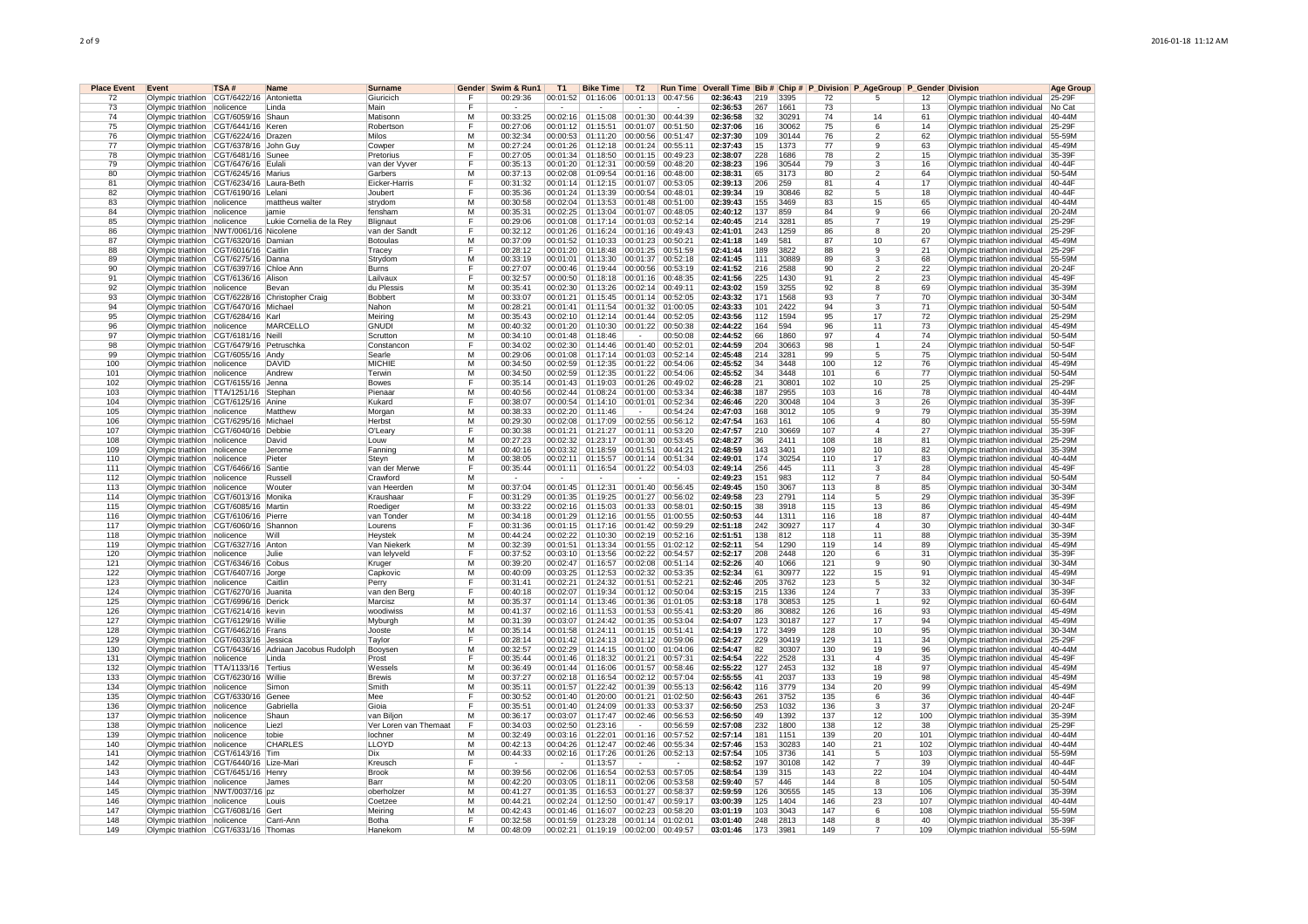| <b>Place Event</b><br>72 | Event<br>Olympic triathlon CGT/6422/16 Antonietta                                  | TSA#      | <b>Name</b>                                               | <b>Surname</b><br>Giuricich | Gender<br>Е             | Swim & Run1<br>00:29:36 | <b>T1</b>          | <b>Bike Time</b><br>00:01:52 01:16:06 00:01:13 00:47:56 | T <sub>2</sub> |                      | 02:36:43             | 219        | 3395         | 72        | Run Time Overall Time Bib # Chip # P_Division P_AgeGroup P_Gender Division<br>5 | 12       | Olympic triathlon individual                                 | Aae Grour<br>25-29F |
|--------------------------|------------------------------------------------------------------------------------|-----------|-----------------------------------------------------------|-----------------------------|-------------------------|-------------------------|--------------------|---------------------------------------------------------|----------------|----------------------|----------------------|------------|--------------|-----------|---------------------------------------------------------------------------------|----------|--------------------------------------------------------------|---------------------|
| 73                       | Olympic triathlon nolicence                                                        |           | l Linda                                                   | Main                        | F                       |                         |                    |                                                         |                |                      | 02:36:53             | 267        | 1661         | 73        |                                                                                 | 13       | Olympic triathlon individual                                 | No Cat              |
|                          |                                                                                    |           |                                                           |                             |                         |                         |                    |                                                         |                |                      |                      |            |              |           |                                                                                 |          |                                                              |                     |
| 74                       | Olympic triathlon CGT/6059/16 Shaun                                                |           |                                                           | Matisonn                    | М                       | 00:33:25                | 00:02:16           | 01:15:08                                                | 00:01:30       | 00:44:39             | 02:36:58             | 32         | 30291        | 74        | 14                                                                              | 61       | Olympic triathlon individual                                 | 40-44M              |
| 75                       | Olympic triathlon CGT/6441/16 Keren                                                |           |                                                           | Robertson                   | F                       | 00:27:06                | 00:01:12           | 01:15:51                                                | 00:01:07       | 00:51:50             | 02:37:06             | 16         | 30062        | 75        | 6                                                                               | 14       | Olympic triathlon individual                                 | 25-29F              |
| 76                       | Olympic triathlon CGT/6224/16 Drazen                                               |           |                                                           | Milos                       | $\overline{\mathsf{M}}$ | 00:32:34                | 00:00:53           | 01:11:20                                                | 00:00:56       | 00:51:47             | 02:37:30             | 109        | 30144        | 76        | 2                                                                               | 62       | Olympic triathlon individual                                 | 55-59M              |
| 77                       | Olympic triathlon CGT/6378/16 John Guy                                             |           |                                                           | Cowper                      | М                       | 00:27:24                | 00:01:26           | 01:12:18                                                | 00:01:24       | 00:55:11             | 02:37:43             | 15         | 1373         | 77        | 9                                                                               | 63       | Olympic triathlon individual                                 | 45-49M              |
| 78                       | Olympic triathlon CGT/6481/16 Sunee                                                |           |                                                           | Pretorius                   | F                       | 00:27:05                | 00:01:34           | 01:18:50                                                | 00:01:15       | 00:49:23             | 02:38:07             | 228        | 1686         | 78        | $\mathfrak{p}$                                                                  | 15       | Olympic triathlon individual                                 | 35-39F              |
| 79                       | Olympic triathlon CGT/6476/16 Eulali                                               |           |                                                           | van der Vyver               | F                       | 00:35:13                |                    | 00:01:20 01:12:31                                       |                | 00:00:59 00:48:20    | 02:38:23             | 196        | 30544        | 79        | 3                                                                               | 16       | Olympic triathlon individual                                 | 40-44F              |
| 80                       | Olympic triathlon CGT/6245/16 Marius                                               |           |                                                           | Garbers                     | М                       | 00:37:13                |                    | 00:02:08   01:09:54                                     | 00:01:16       | 00:48:00             | 02:38:31             | 65         | 3173         | 80        | 2                                                                               | 64       | Olympic triathlon individual                                 | 50-54M              |
| 81                       | Olympic triathlon CGT/6234/16 Laura-Beth                                           |           |                                                           | <b>Eicker-Harris</b>        | F                       | 00:31:32                | 00:01:14           | 01:12:15                                                | 00:01:07       | 00:53:05             | 02:39:13             | 206        | 259          | 81        | $\overline{4}$                                                                  | 17       | Olympic triathlon individual                                 | 40-44F              |
| 82                       | Olympic triathlon   CGT/6190/16   Lelani                                           |           |                                                           | Joubert                     | F                       | 00:35:36                |                    | 00:01:24 01:13:39                                       |                | 00:00:54 00:48:01    | 02:39:34             | 19         | 30846        | 82        | 5                                                                               | 18       | Olympic triathlon individual                                 | $40-44F$            |
| 83                       | Olympic triathlon   nolicence                                                      |           | mattheus walter                                           | strydom                     | М                       | 00:30:58                | 00:02:04           | 01:13:53                                                | 00:01:48       | 00:51:00             | 02:39:43             | 155        | 3469         | 83        | 15                                                                              | 65       | Olympic triathlon individual                                 | 40-44M              |
| 84                       | Olympic triathlon   nolicence                                                      |           | iamie                                                     | fensham                     | М                       | 00:35:31                |                    | 00:02:25 01:13:04                                       | 00:01:07       | 00:48:05             | 02:40:12             | 137        | 859          | 84        | 9                                                                               | 66       | Olympic triathlon individual                                 | 20-24M              |
| 85                       | Olympic triathlon nolicence                                                        |           | Lukie Cornelia de la Rev                                  | Blignaut                    | F                       | 00:29:06                | 00:01:08           | 01:17:14                                                | 00:01:03       | 00:52:14             | 02:40:45             | 214        | 3281         | 85        |                                                                                 | 19       | Olympic triathlon individual                                 | 25-29F              |
| 86                       | Olympic triathlon NWT/0061/16 Nicolene                                             |           |                                                           | van der Sandt               | F                       | 00:32:12                |                    | 00:01:26 01:16:24                                       |                | 00:01:16 00:49:43    | 02:41:01             | 243        | 1259         | 86        | 8                                                                               | 20       | Olympic triathlon individual                                 | 25-29F              |
| 87                       | Olympic triathlon CGT/6320/16 Damian                                               |           |                                                           | Botoulas                    | M                       | 00:37:09                |                    | 00:01:52 01:10:33                                       |                | 00:01:23 00:50:21    | 02:41:18             | 149        | 581          | 87        | 10                                                                              | 67       | Olympic triathlon individual                                 | 45-49M              |
| 88                       | Olympic triathlon CGT/6016/16 Caitlin                                              |           |                                                           | Tracev                      | F                       | 00:28:12                |                    | 00:01:20 01:18:48 00:01:25 00:51:59                     |                |                      | 02:41:44             | 189        | 3822         | <b>RR</b> | 9                                                                               | 21       | Olympic triathlon individual                                 | 25-29F              |
| 89                       | Olympic triathlon CGT/6275/16 Danna                                                |           |                                                           | Strydom                     | M                       | 00:33:19                |                    | 00:01:01 01:13:30                                       | 00:01:37       | 00:52:18             | 02:41:45             | 111        | 30889        | 89        | 3                                                                               | 68       | Olympic triathlon individual                                 | 55-59M              |
| 90                       | Olympic triathlon CGT/6397/16 Chloe Ann                                            |           |                                                           | Burns                       | F                       | 00:27:07                | 00:00:46           | 01:19:44                                                | 00:00:56       | 00:53:19             | 02:41:52             | 216        | 2588         | 90        | $\overline{\mathbf{c}}$                                                         | 22       | Olympic triathlon individual                                 | 20-24F              |
| 91                       | Olympic triathlon CGT/6136/16 Alison                                               |           |                                                           | Lailvaux                    | F                       | 00:32:57                | 00:00:50           | 01:18:18                                                | 00:01:16       | 00:48:35             | 02:41:56             | 225        | 1430         | 91        | $\mathfrak{p}$                                                                  | 23       | Olympic triathlon individual                                 | 45-49F              |
| 92                       | Olympic triathlon nolicence                                                        |           | Bevan                                                     | du Plessis                  | М                       | 00:35:41                | 00:02:30           | 01:13:26                                                | 00:02:14       | 00:49:11             | 02:43:02             | 159        | 3255         | 92        | 8                                                                               | 69       | Olympic triathlon individual                                 | 35-39M              |
| 93                       |                                                                                    |           | Olympic triathlon CGT/6228/16 Christopher Craig           | <b>Bobbert</b>              | M                       | 00:33:07                | 00:01:21           | 01:15:45                                                | 00:01:14       | 00:52:05             | 02:43:32             | 171        | 1568         | 93        |                                                                                 | 70       | Olympic triathlon individual                                 | 30-34M              |
| 94                       | Olympic triathlon   CGT/6470/16   Michael                                          |           |                                                           | Nahon                       | м                       | 00:28:21                | 00:01:41           | 01:11:54                                                |                | 00:01:32 01:00:05    | 02:43:33             | 101        | 2422         | 94        | 3                                                                               | 71       | Olympic triathlon individual                                 | 50-54M              |
| 95                       | Olympic triathlon CGT/6284/16 Karl                                                 |           |                                                           | Meiring                     | М                       | 00:35:43                |                    | 00:02:10 01:12:14                                       | 00:01:44       | 00:52:05             | 02:43:56             | 112        | 1594         | 95        | 17                                                                              | 72       | Olympic triathlon individual                                 | 25-29M              |
| 96                       | Olympic triathlon nolicence                                                        |           | <b>MARCELLO</b>                                           | <b>GNUDI</b>                | M                       | 00:40:32                |                    | 00:01:20 01:10:30                                       | 00:01:22       | 00:50:38             | 02:44:22             | 164        | 594          | 96        | 11                                                                              | 73       | Olympic triathlon individual                                 | 45-49M              |
| 97                       | Olympic triathlon CGT/6181/16 Neill                                                |           |                                                           | Scrutton                    | M                       | 00:34:10                | 00:01:48           | 01:18:46                                                |                | 00:50:08             | 02:44:52             | 66         | 1860         | 97        | $\overline{4}$                                                                  | 74       | Olympic triathlon individual                                 | 50-54M              |
| 98                       | Olympic triathlon CGT/6479/16 Petruschka                                           |           |                                                           | Constancon                  | F                       | 00:34:02                | 00:02:30           | 01:14:46                                                | 00:01:40       | 00:52:01             | 02:44:59             | 204        | 30663        | 98        | 1                                                                               | 24       | Olympic triathlon individual                                 | 50-54F              |
| 99                       | Olympic triathlon CGT/6055/16 Andy                                                 |           |                                                           | Searle                      | М                       | 00:29:06                | 00:01:08           | 01:17:14                                                | 00:01:03       | 00:52:14             | 02:45:48             | 214        | 3281         | 99        | 5                                                                               | 75       | Olympic triathlon individual                                 | 50-54M              |
| 100                      | Olympic triathlon nolicence                                                        |           | <b>DAVID</b>                                              | <b>MICHIE</b>               | M                       | 00:34:50                | 00:02:59           | 01:12:35                                                | 00:01:22       | 00:54:06             | 02:45:52             | 34         | 3448         | 100       | 12                                                                              | 76       | Olympic triathlon individual                                 | 45-49M              |
| 101                      | Olympic triathlon nolicence                                                        |           | Andrew                                                    | Terwin                      | M                       | 00:34:50                | 00:02:59           | 01:12:35                                                | 00:01:22       | 00:54:06             | 02:45:52             | 34         | 3448         | 101       | 6                                                                               | 77       | Olympic triathlon individual                                 | 50-54M              |
| 102                      | Olympic triathlon CGT/6155/16 Jenna                                                |           |                                                           | Bowes                       | F                       | 00:35:14                |                    | 00:01:43 01:19:03                                       | 00:01:26       | 00:49:02             | 02:46:28             | 21         | 30801        | 102       | 10                                                                              | 25       | Olympic triathlon individual                                 | 25-29F              |
| 103                      | Olympic triathlon   TTA/1251/16   Stephan                                          |           |                                                           | Pienaar                     | м                       | 00:40:56                |                    | 00:02:44 01:08:24 00:01:00 00:53:34                     |                |                      | 02:46:38             | 187        | 2955         | 103       | 16                                                                              | 78       | Olympic triathlon individual                                 | 40-44M              |
| 104                      | Olympic triathlon CGT/6125/16 Anine                                                |           |                                                           | Kukard                      | F                       | 00:38:07                |                    | 00:00:54 01:14:10                                       |                | 00:01:01 00:52:34    | 02:46:46             | 220        | 30048        | 104       | 3                                                                               | 26       | Olympic triathlon individual                                 | 35-39F              |
| 105                      | Olympic triathlon nolicence                                                        |           | Matthew                                                   | Morgan                      | M                       | 00:38:33                | 00:02:20           | 01:11:46                                                |                | 00:54:24             | 02:47:03             | 168        | 3012         | 105       | 9                                                                               | 79       | Olympic triathlon individual                                 | 35-39M              |
| 106                      | Olympic triathlon CGT/6295/16 Michael                                              |           |                                                           | Herbst                      | M                       | 00:29:30                | 00:02:08           | 01:17:09                                                | 00:02:55       | 00:56:12             | 02:47:54             | 163        | 161          | 106       | $\overline{4}$                                                                  | 80       | Olympic triathlon individual                                 | 55-59M              |
| 107                      | Olympic triathlon CGT/6040/16 Debbie                                               |           |                                                           | O'Leary                     | F                       | 00:30:38                | 00:01:21           | 01:21:27                                                | 00:01:11       | 00:53:20             | 02:47:57             | 210        | 30669        | 107       | 4                                                                               | 27       | Olympic triathlon individual                                 | 35-39F              |
| 108                      |                                                                                    |           |                                                           |                             | М                       | 00:27:23                | 00:02:32           | 01:23:17                                                | 00:01:30       |                      | 02:48:27             | 36         | 2411         | 108       | 18                                                                              | 81       |                                                              | 25-29M              |
| 109                      | Olympic triathlon nolicence<br>Olympic triathlon nolicence                         |           | David<br>Jerome                                           | Louw<br>Fanning             | M                       | 00:40:16                | 00:03:32           | 01:18:59                                                | 00:01:51       | 00:53:45<br>00:44:21 | 02:48:59             | 143        | 3401         | 109       | 10 <sup>1</sup>                                                                 | 82       | Olympic triathlon individual<br>Olympic triathlon individual | 35-39M              |
| 110                      |                                                                                    |           | Pieter                                                    |                             | М                       | 00:38:05                | 00:02:11           | 01:15:57                                                | 00:01:14       | 00:51:34             | 02:49:01             | 174        | 30254        | 110       | 17                                                                              | 83       |                                                              | 40-44M              |
| 111                      | Olympic triathlon   nolicence                                                      |           |                                                           | Steyn                       | F                       |                         |                    |                                                         |                |                      |                      |            |              | 111       |                                                                                 |          | Olympic triathlon individual                                 |                     |
| 112                      | Olympic triathlon CGT/6466/16                                                      |           | Santie<br>Russell                                         | van der Merwe               | M                       | 00:35:44                | 00:01:11<br>$\sim$ | 01:16:54                                                |                | 00:01:22 00:54:03    | 02:49:14<br>02:49:23 | 256<br>151 | 445<br>983   | 112       | 3<br>7                                                                          | 28<br>84 | Olympic triathlon individual                                 | 45-49F<br>50-54M    |
|                          | Olympic triathlon nolicence                                                        |           |                                                           | Crawford                    |                         |                         |                    |                                                         |                |                      |                      |            |              |           | 8                                                                               |          | Olympic triathlon individual                                 |                     |
| 113                      | Olympic triathlon   nolicence                                                      |           | Wouter                                                    | van Heerden                 | М                       | 00:37:04                | 00:01:45           | 01:12:31                                                |                | 00:01:40 00:56:45    | 02:49:45             | 150        | 3067         | 113       |                                                                                 | 85       | Olympic triathlon individual                                 | 30-34M              |
| 114                      | Olympic triathlon CGT/6013/16 Monika                                               |           |                                                           | Kraushaar                   | F                       | 00:31:29                | 00:01:35           | 01:19:25                                                | 00:01:27       | 00:56:02             | 02:49:58             | 23         | 2791         | 114       | 5                                                                               | 29       | Olympic triathlon individual                                 | 35-39F              |
| 115                      | Olympic triathlon   CGT/6085/16   Martin                                           |           |                                                           | Roediger                    | м                       | 00:33:22                |                    | 00:02:16 01:15:03                                       | 00:01:33       | 00:58:01             | 02:50:15             | 38         | 3918         | 115       | 13                                                                              | 86       | Olympic triathlon individual                                 | 45-49M              |
| 116                      | Olympic triathlon CGT/6106/16 Pierre                                               |           |                                                           | van Tonder                  | м                       | 00:34:18                |                    | 00:01:29 01:12:16                                       | 00:01:55       | 01:00:55             | 02:50:53             | 44         | 1311         | 116       | 18                                                                              | 87       | Olympic triathlon individual                                 | 40-44M              |
| 117                      | Olympic triathlon CGT/6060/16 Shannon                                              |           |                                                           | Lourens                     | F                       | 00:31:36                |                    | 00:01:15 01:17:16                                       | 00:01:42       | 00:59:29             | 02:51:18             | 242        | 30927        | 117       | 4                                                                               | 30       | Olympic triathlon individual                                 | 30-34F              |
| 118                      | Olympic triathlon nolicence                                                        |           | Will                                                      | Heystek                     | М                       | 00:44:24                | 00:02:22           | 01:10:30                                                | 00:02:19       | 00:52:16             | 02:51:51             | 138        | 812          | 118       | 11                                                                              | 88       | Olympic triathlon individual                                 | 35-39M              |
| 119                      | Olympic triathlon CGT/6327/16 Anton                                                |           |                                                           | Van Niekerk                 | м                       | 00:32:39                |                    | 00:01:51 01:13:34 00:01:55 01:02:12                     |                |                      | 02:52:11             | 54         | 1290         | 119       | 14                                                                              | 89       | Olympic triathlon individual                                 | 45-49M              |
| 120                      | Olympic triathlon nolicence                                                        |           | Julie                                                     | van lelvveld                | F                       | 00:37:52                |                    | 00:03:10 01:13:56                                       | 00:02:22       | 00:54:57             | 02:52:17             | 208        | 2448         | 120       | 6                                                                               | 31       | Olympic triathlon individual                                 | 35-39F              |
| 121                      | Olympic triathlon CGT/6346/16 Cobus                                                |           |                                                           | Kruger                      | М                       | 00:39:20                | 00:02:47           | 01:16:57                                                | 00:02:08       | 00:51:14             | 02:52:26             | 40         | 1066         | 121       | 9                                                                               | 90       | Olympic triathlon individual                                 | $30-34M$            |
| 122                      | Olympic triathlon CGT/6407/16 Jorge                                                |           |                                                           | Capkovic                    | М                       | 00:40:09                | 00:03:25           | 01:12:53                                                | 00:02:32       | 00:53:35             | 02:52:34             | 61         | 30977        | 122       | 15                                                                              | 91       | Olympic triathlon individual                                 | 45-49M              |
| 123                      | Olympic triathlon nolicence                                                        |           | Caitlin                                                   | Perry                       | E                       | 00:31:41                | 00:02:21           | 01:24:32                                                | 00:01:51       | 00:52:21             | 02:52:46             | 205        | 3762         | 123       | 5                                                                               | 32       | Olympic triathlon individual                                 | 30-34F              |
| 124                      | Olympic triathlon CGT/6270/16 Juanita                                              |           |                                                           | van den Berg                | E                       | 00:40:18                | 00:02:07           | 01:19:34                                                | 00:01:12       | 00:50:04             | 02:53:15             | 215        | 1336         | 124       | $\overline{7}$                                                                  | 33       | Olympic triathlon individual                                 | 35-39F              |
| 125                      | Olympic triathlon CGT/6996/16 Derick                                               |           |                                                           | Marcisz                     | М                       | 00:35:37                | 00:01:14           | 01:13:46                                                |                | 00:01:36 01:01:05    | 02:53:18             | 178        | 30853        | 125       |                                                                                 | 92       | Olympic triathlon individual                                 | 60-64M              |
| 126                      | Olympic triathlon CGT/6214/16 kevin                                                |           |                                                           | woodiwiss                   | M                       | 00:41:37                | 00:02:16           | 01:11:53                                                | 00:01:53       | 00:55:41             | 02:53:20             | 86         | 30882        | 126       | 16                                                                              | 93       | Olympic triathlon individual                                 | 45-49M              |
| 127                      | Olympic triathlon   CGT/6129/16 Willie                                             |           |                                                           | Myburgh                     | м                       | 00:31:39                | 00:03:07           | 01:24:42                                                | 00:01:35       | 00:53:04             | 02:54:07             | 123        | 30187        | 127       | 17                                                                              | 94       | Olympic triathlon individual                                 | 45-49M              |
| 128                      | Olympic triathlon CGT/6462/16 Frans                                                |           |                                                           | Jooste                      | M                       | 00:35:14                |                    | 00:01:58 01:24:11                                       | 00:01:15       | 00:51:41             | 02:54:19             | 172        | 3499         | 128       | 10                                                                              | 95       | Olympic triathlon individual                                 | 30-34M              |
| 129                      | Olympic triathlon CGT/6033/16 Jessica                                              |           |                                                           | Taylor                      | F                       | 00:28:14                | 00:01:42           | 01:24:13                                                | 00:01:12       | 00:59:06             | 02:54:27             | 229        | 30419        | 129       | 11                                                                              | 34       | Olympic triathlon individual                                 | 25-29F              |
| 130                      |                                                                                    |           | Olympic triathlon   CGT/6436/16   Adriaan Jacobus Rudolph | Booysen                     | М                       | 00:32:57                | 00:02:29           | 01:14:15                                                | 00:01:00       | 01:04:06             | 02:54:47             | 82         | 30307        | 130       | 19                                                                              | 96       | Olympic triathlon individual                                 | $40 - 44M$          |
| 131                      | Olympic triathlon nolicence                                                        |           | Linda                                                     | Prost                       | F                       | 00:35:44                | 00:01:46           | 01:18:32                                                | 00:01:21       | 00:57:31             | 02:54:54             | 222        | 2528         | 131       | 4                                                                               | 35       | Olympic triathlon individual                                 | 45-49F              |
| 132                      | Olympic triathlon   TTA/1133/16   Tertius                                          |           |                                                           | Wessels                     | M                       | 00:36:49                | 00:01:44           | 01:16:06                                                | 00:01:57       | 00:58:46             | 02:55:22             | 127        | 2453         | 132       | 18                                                                              | 97       | Olympic triathlon individual                                 | 45-49M              |
| 133                      | Olympic triathlon CGT/6230/16 Willie                                               |           |                                                           | Brewis                      | М                       | 00:37:27                | 00:02:18           | 01:16:54                                                | 00:02:12       | 00:57:04             | 02:55:55             | 41         | 2037         | 133       | 19                                                                              | 98       | Olympic triathlon individual                                 | 45-49M              |
| 134                      | Olympic triathlon   nolicence                                                      |           | Simon                                                     | Smith                       | м                       | 00:35:11                | 00:01:57           | 01:22:42                                                | 00:01:39       | 00:55:13             | 02:56:42             | 116        | 3779         | 134       | 20                                                                              | 99       | Olympic triathlon individual                                 | 45-49M              |
| 135                      | Olympic triathlon CGT/6330/16                                                      |           | Genee                                                     | Mee                         | F                       | 00:30:52                |                    | 00:01:40 01:20:00                                       |                | 00:01:21 01:02:50    | 02:56:43             | 261        | 3752         | 135       | 6                                                                               | 36       | Olympic triathlon individual                                 | 40-44F              |
| 136                      | Olympic triathlon nolicence                                                        |           | Gabriella                                                 | Gioia                       | F                       | 00:35:51                |                    | 00:01:40 01:24:09                                       | 00:01:33       | 00:53:37             | 02:56:50             | 253        | 1032         | 136       | 3                                                                               | 37       | Olympic triathlon individual                                 | 20-24F              |
| 137                      | Olympic triathlon nolicence                                                        |           | Shaun                                                     | van Biljon                  | М                       | 00:36:17                | 00:03:07           | 01:17:47                                                | 00:02:46       | 00:56:53             | 02:56:50             | 49         | 1392         | 137       | 12                                                                              | 100      | Olympic triathlon individual                                 | 35-39M              |
| 138                      | Olympic triathlon nolicence                                                        |           | Liezl                                                     | Ver Loren van Themaat       | F                       | 00:34:03                | 00:02:50           | 01:23:16                                                |                | 00:56:59             | 02:57:08             | 232        | 1800         | 138       | 12                                                                              | 38       | Olympic triathlon individual                                 | 25-29F              |
| 139                      | Olympic triathlon                                                                  | nolicence | tobie                                                     | lochner                     | М                       | 00:32:49                | 00:03:16           | 01:22:01                                                | 00:01:16       | 00:57:52             | 02:57:14             | 181        | 1151         | 139       | 20                                                                              | 101      | Olympic triathlon individual                                 | 40-44M              |
| 140                      | Olympic triathlon nolicence                                                        |           | CHARLES                                                   | <b>LLOYD</b>                | M                       | 00:42:13                | 00:04:26           | 01:12:47                                                | 00:02:46       | 00:55:34             | 02:57:46             | 153        | 30283        | 140       | 21                                                                              | 102      | Olympic triathlon individual                                 | 40-44M              |
| 141                      | Olympic triathlon CGT/6143/16 Tim                                                  |           |                                                           | Dix                         | м                       | 00:44:33                | 00:02:16           | 01:17:26                                                |                | 00:01:26 00:52:13    | 02:57:54             | 105        | 3736         | 141       | $\overline{5}$                                                                  | 103      | Olympic triathlon individual                                 | 55-59M              |
| 142                      |                                                                                    |           |                                                           | Kreusch                     | F                       |                         |                    | 01:13:57                                                |                |                      | 02:58:52             | 197        |              | 142       | $\overline{7}$                                                                  | 39       |                                                              | 40-44F              |
| 143                      | Olympic triathlon   CGT/6440/16   Lize-Mari<br>Olympic triathlon CGT/6451/16 Henry |           |                                                           | Brook                       | M                       | 00:39:56                | 00:02:06           | 01:16:54                                                |                | 00:02:53 00:57:05    | 02:58:54             | 139        | 30108<br>315 | 143       | 22                                                                              | 104      | Olympic triathlon individual<br>Olympic triathlon individual | 40-44M              |
| 144                      | Olympic triathlon nolicence                                                        |           | James                                                     | Barr                        | $\overline{M}$          | 00:42:20                |                    | 00:03:05 01:18:11                                       | 00:02:06       | 00:53:58             | 02:59:40             | 57         | 446          | 144       | $\overline{8}$                                                                  | 105      | Olympic triathlon individual                                 | 50-54M              |
| 145                      | Olympic triathlon NWT/0037/16 pz                                                   |           |                                                           | oberholzer                  | М                       | 00:41:27                | 00:01:35           | 01:16:53                                                | 00:01:27       | 00:58:37             | 02:59:59             | 126        | 30555        | 145       | 13                                                                              | 106      | Olympic triathlon individual                                 | 35-39M              |
| 146                      |                                                                                    |           | Louis                                                     | Coetzee                     | М                       | 00:44:21                | 00:02:24           | 01:12:50                                                | 00:01:47       | 00:59:17             | 03:00:39             | 125        | 1404         | 146       | 23                                                                              | 107      |                                                              | 40-44M              |
| 147                      | Olympic triathlon nolicence                                                        |           | Gert                                                      |                             | М                       | 00:42:43                |                    |                                                         | 00:02:23       |                      |                      |            |              | 147       | 6                                                                               | 108      | Olympic triathlon individual                                 | 55-59M              |
| 148                      | Olympic triathlon CGT/6081/16                                                      |           |                                                           | Meiring                     | F                       |                         |                    | 00:01:46 01:16:07                                       |                | 00:58:20             | 03:01:19             | 103        | 3043         |           |                                                                                 |          | Olympic triathlon individual                                 |                     |
|                          | Olympic triathlon nolicence                                                        |           | l Carri-Ann                                               | Botha                       | М                       | 00:32:58                | 00:01:59           | 01:23:28                                                |                | 00:01:14 01:02:01    | 03:01:40             | 248        | 2813         | 148       | 8<br>$\overline{7}$                                                             | 40       | Olympic triathlon individual 35-39F                          |                     |
| 149                      | Olympic triathlon CGT/6331/16 Thomas                                               |           |                                                           | Hanekom                     |                         | 00:48:09                |                    | 00:02:21 01:19:19 00:02:00 00:49:57                     |                |                      | 03:01:46             | 173        | 3981         | 149       |                                                                                 | 109      | Olympic triathlon individual                                 | 55-59M              |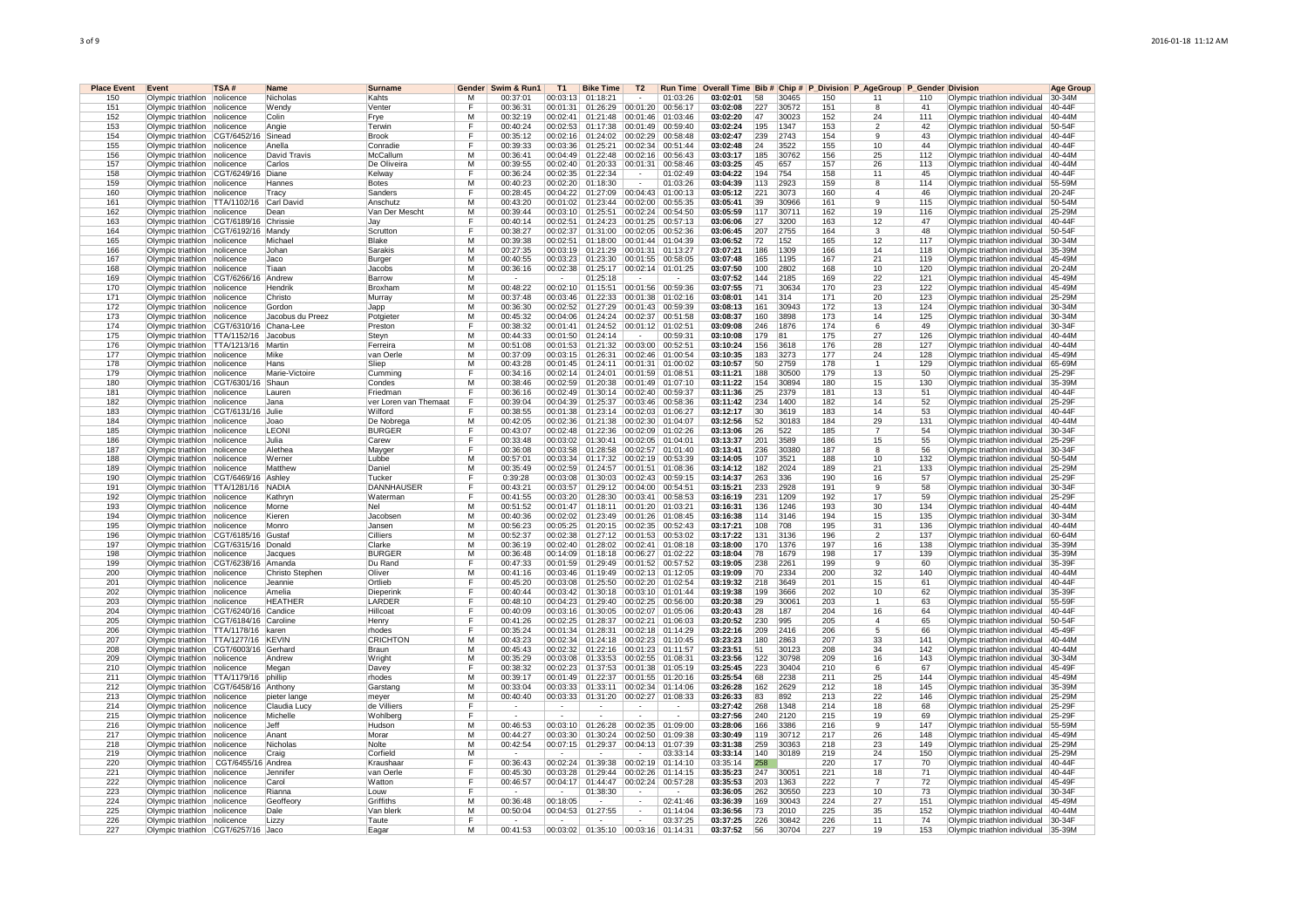| <b>Place Event</b> | Event                                                       | TSA#         | <b>Name</b>      | <b>Surname</b>                   | Gender | Swim & Run1          | <b>T1</b>            | <b>Bike Time</b>                    | T <sub>2</sub>       |                      |                                                                                        |            |               |            |                |           |                                                              | Age Group        |
|--------------------|-------------------------------------------------------------|--------------|------------------|----------------------------------|--------|----------------------|----------------------|-------------------------------------|----------------------|----------------------|----------------------------------------------------------------------------------------|------------|---------------|------------|----------------|-----------|--------------------------------------------------------------|------------------|
| 150                | Olympic triathlon nolicence                                 |              | Nicholas         | Kahts                            | м      | 00:37:01             |                      | 00:03:13 01:18:21                   |                      | 01:03:26             | Run Time Overall Time Bib # Chip # P_Division P_AgeGroup P_Gender Division<br>03:02:01 | 58         | 30465         | 150        | 11             | 110       | Olympic triathlon individual                                 | 30-34M           |
| 151                | Olympic triathlon nolicence                                 |              | Wendy            | Venter                           |        | 00:36:31             | 00:01:31             | 01:26:29                            | 00:01:20 00:56:17    |                      | 03:02:08                                                                               | 227        | 30572         | 151        | 8              | 41        | Olympic triathlon individual                                 | 40-44F           |
| 152                | Olympic triathlon nolicence                                 |              | Colin            | Frve                             | M      | 00:32:19             | 00:02:41             | 01:21:48                            | 00:01:46             | 01:03:46             | 03:02:20                                                                               | 47         | 30023         | 152        | 24             | 111       | Olympic triathlon individual                                 | 40-44M           |
| 153                | Olympic triathlon                                           | nolicence    | Angie            | Terwin                           | F      | 00:40:24             | 00:02:53             | 01:17:38                            | 00:01:49             | 00:59:40             | 03:02:24                                                                               | 195        | 1347          | 153        | $\mathfrak{p}$ | 42        | Olympic triathlon individual                                 | 50-54F           |
| 154                | Olympic triathlon                                           | ICGT/6452/1  | Sinead           | Brook                            |        | 00:35:12             | 00:02:16             | 01:24:02                            | 00:02:29             | 00:58:48             | 03.02:47                                                                               | 239        | 2743          | 154        | <b>q</b>       | 43        | Olympic triathlon individual                                 | 40-44F           |
| 155                | Olympic triathlon nolicence                                 |              | Anella           | Conradie                         |        | 00:39:33             | 00:03:36             | 01:25:21                            | 00:02:34             | 00:51:44             | 03:02:48                                                                               | 24         | 3522          | 155        | 10             | 44        | Olympic triathlon individual                                 | 40-44F           |
| 156                | Olympic triathlon nolicence                                 |              | David Travis     | McCallum                         | M      | 00:36:41             | 00:04:49             | 01:22:48                            | 00:02:16             | 00:56:43             | 03:03:17                                                                               | 185        | 30762         | 156        | 25             | 112       | Olympic triathlon individual                                 | 40-44M           |
| 157                | Olympic triathlon nolicence                                 |              | Carlos           | De Oliveira                      | M      | 00:39:55             | 00:02:40             | 01:20:33                            | 00:01:31             | 00:58:46             | 03:03:25                                                                               | 45         | 657           | 157        | 26             | 113       | Olympic triathlon individual                                 | 40-44M           |
| 158                | Olympic triathlon CGT/6249/16                               |              | Diane            | Kelway                           | F      | 00:36:24             | 00:02:35             | 01:22:34                            |                      | 01:02:49             | 03:04:22                                                                               | 194        | 754           | 158        | 11             | 45        | Olympic triathlon individual                                 | 40-44F           |
| 159                | Olympic triathlon nolicence                                 |              | Hannes           | <b>Botes</b>                     | M      | 00:40:23             | 00:02:20             | 01:18:30                            |                      | 01:03:26             | 03:04:39                                                                               | 113        | 2923          | 159        | 8              | 114       | Olympic triathlon individual                                 | 55-59M           |
| 160                | Olympic triathlon nolicence                                 |              | Tracy            | Sanders                          | F      | 00:28:45             | 00:04:22             | 01:27:09                            | 00:04:43             | 01:00:13             | 03:05:12                                                                               | 221        | 3073          | 160        | $\overline{4}$ | 46        | Olympic triathlon individual                                 | $20-24F$         |
| 161                | Olympic triathlon   TTA/1102/16                             |              | Carl David       | Anschutz                         | м      | 00:43:20             | 00:01:02             | 01:23:44                            | 00:02:00             | 00:55:35             | 03:05:41                                                                               | 39         | 30966         | 161        | 9              | 115       | Olympic triathlon individual                                 | 50-54M           |
| 162                | Olympic triathlon nolicence                                 |              | Dean             | Van Der Mescht                   | M      | 00:39:44             | 00:03:10             | 01:25:51                            | 00:02:24             | 00:54:50             | 03:05:59                                                                               | 117        | 30711         | 162        | 19             | 116       | Olympic triathlon individual                                 | 25-29M           |
| 163                | Olympic triathlon CGT/6189/16 Chrissie                      |              |                  | Jav                              |        | 00:40:14             | 00:02:51             | 01:24:23                            | 00:01:25             | 00:57:13             | 03:06:06                                                                               | 27         | 3200          | 163        | 12             | 47        | Olympic triathlon individual                                 | 40-44F           |
| 164                | Olympic triathlon CGT/6192/16 Mandy                         |              |                  | Scrutton                         |        | 00:38:27             | 00:02:37             | 01:31:00                            | 00:02:05 00:52:36    |                      | 03:06:45                                                                               | 207        | 2755          | 164        | 3              | 48        | Olympic triathlon individual                                 | 50-54F           |
| 165                | Olympic triathlon nolicence                                 |              | Michael          | Blake                            | M      | 00:39:38             |                      | 00:02:51 01:18:00                   | 00:01:44 01:04:39    |                      | 03:06:52                                                                               | 72         | 152           | 165        | 12             | 117       | Olympic triathlon individual                                 | 30-34M           |
| 166                | Olympic triathlon nolicence                                 |              | Johan            | Sarakis                          | M      | 00:27:35             |                      | 00:03:19 01:21:29 00:01:31 01:13:27 |                      |                      | 03:07:21                                                                               | 186        | 1309          | 166        | 14             | 118       | Olympic triathlon individual                                 | 35-39M           |
| 167                | Olympic triathlon nolicence                                 |              | Jaco             | Burger                           | M      | 00:40:55             | 00:03:23             | 01:23:30                            | 00:01:55             | 00:58:05             | 03:07:48                                                                               | 165        | 1195          | 167        | 21             | 119       | Olympic triathlon individual                                 | 45-49M           |
| 168                | Olympic triathlon nolicence                                 |              | Tiaan            | Jacobs                           | M      | 00:36:16             | 00:02:38             | 01:25:17                            | 00:02:14             | 01:01:25             | 03:07:50                                                                               | 100        | 2802          | 168        | 10             | 120       | Olympic triathlon individual                                 | 20-24M           |
| 169                | Olympic triathlon                                           | ICGT/6266/16 | Andrew           | Barrow                           | M      |                      |                      | 01:25:18                            |                      |                      | 03:07:52                                                                               | 144        | 2185          | 169        | 22             | 121       | Olympic triathlon individual                                 | 45-49M           |
| 170                | Olympic triathlon nolicence                                 |              | Hendrik          | Broxham                          | м      | 00:48:22             | 00:02:10             | 01:15:51                            | 00:01:56             | 00:59:36             | 03:07:55                                                                               | 71         | 30634         | 170        | 23             | 122       | Olympic triathlon individual                                 | 45-49M           |
| 171                | Olympic triathlon nolicence                                 |              | Christo          | Murray                           | M      | 00:37:48             | 00:03:46             | 01:22:33                            | 00:01:38             | 01:02:16             | 03:08:01                                                                               | 141        | 314           | 171        | 20             | 123       | Olympic triathlon individual                                 | 25-29M           |
| 172                | Olympic triathlon nolicence                                 |              | Gordon           | Japp                             | м      | 00:36:30             | 00:02:52             | 01:27:29                            | 00:01:43             | 00:59:39             | 03:08:13                                                                               | 161        | 30943         | 172        | 13             | 124       | Olympic triathlon individual                                 | 30-34M           |
| 173                | Olympic triathlon nolicence                                 |              | Jacobus du Preez | Potgieter                        | м      | 00:45:32             | 00:04:06             | 01:24:24                            | 00:02:37             | 00:51:58             | 03:08:37                                                                               | 160        | 3898          | 173        | 14             | 125       | Olympic triathlon individual                                 | 30-34M           |
| 174                | Olympic triathlon CGT/6310/16                               |              | Chana-Lee        | Preston                          | E      | 00:38:32             | 00:01:41             | 01:24:52                            | 00:01:12             | 01:02:51             | 03:09:08                                                                               | 246        | 1876          | 174        | 6              | 49        | Olympic triathlon individual                                 | 30-34F           |
| 175                | Olympic triathlon   TTA/1152/16   Jacobus                   |              |                  | Steyn                            | M      | 00:44:33             | 00:01:50             | 01:24:14                            |                      | 00:59:31             | 03:10:08                                                                               | 179        | 81            | 175        | 27             | 126       | Olympic triathlon individual                                 | 40-44M           |
| 176                | Olympic triathlon   TTA/1213/16                             |              | Martin           | Ferreira                         | M      | 00:51:08             | 00:01:53             | 01:21:32                            | 00:03:00             | 00:52:51             | 03:10:24                                                                               | 156        | 3618          | 176        | 28             | 127       | Olympic triathlon individual                                 | 40-44M           |
| 177                | Olympic triathlon nolicence                                 |              | Mike             | van Oerle                        | м      | 00:37:09             | 00:03:15             | 01:26:31                            | 00:02:46             | 01:00:54             | 03:10:35                                                                               | 183        | 3273          | 177        | 24             | 128       | Olympic triathlon individual                                 | 45-49M           |
| 178                | Olympic triathlon   nolicence                               |              | Hans             | Sliep                            | M      | 00:43:28             | 00:01:45             | 01:24:11                            | 00:01:31             | 01:00:02             | 03:10:57                                                                               | 50         | 2759          | 178        |                | 129       | Olympic triathlon individual                                 | 65-69M           |
| 179                | Olympic triathlon nolicence                                 |              | Marie-Victoire   | Cumming                          | E      | 00:34:16             | 00:02:14             | 01:24:01                            | 00:01:59             | 01:08:51             | 03:11:21                                                                               | 188        | 30500         | 179        | 13             | 50        | Olympic triathlon individual                                 | 25-29F           |
| 180                | Olympic triathlon CGT/6301/16                               |              | Shaun            | Condes                           | M<br>F | 00:38:46             | 00:02:59             | 01:20:38                            | 00:01:49 01:07:10    |                      | 03:11:22                                                                               | 154        | 30894         | 180        | 15             | 130       | Olympic triathlon individual                                 | 35-39M           |
| 181                | Olympic triathlon nolicence                                 |              | Lauren           | Friedman                         |        | 00:36:16             | 00:02:49             | 01:30:14   00:02:40   00:59:37      |                      |                      | 03:11:36                                                                               | 25         | 2379          | 181        | 13             | 51        | Olympic triathlon individual                                 | 40-44F           |
| 182<br>183         | Olympic triathlon nolicence                                 |              | Jana<br>Julie    | ver Loren van Themaat<br>Wilford | E<br>E | 00:39:04<br>00:38:55 | 00:04:39<br>00:01:38 | 01:25:37<br>01:23:14                | 00:03:46<br>00:02:03 | 00:58:36<br>01:06:27 | 03:11:42<br>03:12:17                                                                   | 234        | 1400<br>3619  | 182<br>183 | 14<br>14       | 52<br>53  | Olympic triathlon individual                                 | 25-29F           |
| 184                | Olympic triathlon CGT/6131/16                               |              | Joac             |                                  | M      | 00:42:05             | 00:02:36             |                                     | 00:02:30             | 01:04:07             | 03:12:56                                                                               | 30         |               | 184        |                |           | Olympic triathlon individual                                 | 40-44F<br>40-44M |
|                    | Olympic triathlon nolicence                                 |              |                  | De Nobrega                       | Е      |                      | 00:02:48             | 01:21:38                            |                      |                      | 03:13:06                                                                               | 52         | 30183         |            | 29             | 131<br>54 | Olympic triathlon individual                                 | 30-34F           |
| 185                | Olympic triathlon nolicence                                 |              | <b>LEONI</b>     | <b>BURGER</b>                    | F      | 00:43:07             | 00:03:02             | 01:22:36                            | 00:02:09             | 01:02:26             |                                                                                        | 26         | 522           | 185        |                | 55        | Olympic triathlon individual                                 |                  |
| 186<br>187         | Olympic triathlon nolicence<br>Olympic triathlon Inolicence |              | Julia<br>Alethea | Carew                            |        | 00:33:48<br>00:36:08 | 00:03:58             | 01:30:41<br>01:28:58                | 00:02:05<br>00:02:57 | 01:04:01<br>01:01:40 | 03:13:37<br>03:13:41                                                                   | 201<br>236 | 3589<br>30380 | 186<br>187 | 15<br>8        | 56        | Olympic triathlon individual                                 | 25-29F<br>30-34F |
| 188                |                                                             |              | Werner           | Mavger<br>Lubbe                  | M      | 00:57:01             | 00:03:34             | 01:17:32                            | 00:02:19 00:53:39    |                      | 03:14:05                                                                               | 107        | 3521          | 188        | 10             | 132       | Olympic triathlon individual                                 | 50-54M           |
| 189                | Olympic triathlon nolicence<br>Olympic triathlon nolicence  |              | Matthew          | Daniel                           | M      | 00:35:49             | 00:02:59             |                                     | 00:01:51             | 01:08:36             | 03:14:12                                                                               | 182        | 2024          | 189        | 21             | 133       | Olympic triathlon individual<br>Olympic triathlon individual | 25-29M           |
| 190                | Olympic triathlon   CGT/6469/16                             |              | Ashlev           | Tucker                           | F      | 0:39:28              | 00:03:08             | 01:24:57<br>01:30:03                | $00.02 - 43$         | 00:59:15             | 03:14:37                                                                               | 263        | 336           | 190        | 16             | 57        | Olympic triathlon individual                                 | 25-29F           |
| 191                | Olympic triathlon   TTA/1281/16                             |              | NADIA            | <b>DANNHAUSER</b>                |        | 00:43:21             | 00:03:57             | 01:29:12                            | 00:04:00             | 00:54:51             | 03:15:21                                                                               | 233        | 2928          | 191        | $\overline{9}$ | 58        | Olympic triathlon individual                                 | 30-34F           |
| 192                | Olympic triathlon nolicence                                 |              | Kathryn          | Waterman                         | E      | 00:41:55             | 00:03:20             | 01:28:30                            | 00:03:41             | 00:58:53             | 03:16:19                                                                               | 231        | 1209          | 192        | 17             | 59        | Olympic triathlon individual                                 | 25-29F           |
| 193                | Olympic triathlon nolicence                                 |              | Morne            | Nel                              | м      | 00:51:52             | 00:01:47             | 01:18:11                            | 00:01:20             | 01:03:21             | 03:16:31                                                                               | 136        | 1246          | 193        | 30             | 134       | Olympic triathlon individual                                 | 40-44M           |
| 194                | Olympic triathlon nolicence                                 |              | Kieren           | Jacobsen                         | M      | 00:40:36             | 00:02:02             | 01:23:49                            | 00:01:26             | 01:08:45             | 03:16:38                                                                               | 114        | 3146          | 194        | 15             | 135       | Olympic triathlon individual                                 | 30-34M           |
| 195                | Olympic triathlon nolicence                                 |              | Monro            | Jansen                           | M      | 00:56:23             | 00:05:25             | 01:20:15                            | 00:02:35             | 00:52:43             | 03:17:21                                                                               | 108        | 708           | 195        | 31             | 136       | Olympic triathlon individual                                 | 40-44M           |
| 196                | Olympic triathlon CGT/6185/16                               |              | Gustal           | Cilliers                         | м      | 00:52:37             | 00:02:38             | 01:27:12                            | 00:01:53             | 00:53:02             | 03:17:22                                                                               | 131        | 3136          | 196        | $\mathfrak{p}$ | 137       | Olympic triathlon individual                                 | 60-64M           |
| 197                | Olympic triathlon   CGT/6315/16   Donald                    |              |                  | Clarke                           | м      | 00:36:19             |                      | 00:02:40 01:28:02                   | 00:02:41 01:08:18    |                      | 03:18:00                                                                               | 170        | 1376          | 197        | 16             | 138       | Olympic triathlon individual                                 | 35-39M           |
| 198                | Olympic triathlon nolicence                                 |              | Jacques          | <b>BURGER</b>                    | M      | 00:36:48             | 00:14:09             | 01:18:18                            | $00:06:27$ 01:02:22  |                      | 03:18:04                                                                               | 78         | 1679          | 198        | 17             | 139       | Olympic triathlon individual                                 | 35-39M           |
| 199                | Olympic triathlon CGT/6238/16 Amanda                        |              |                  | Du Rand                          | E      | 00:47:33             | 00:01:59             | 01:29:49                            | 00:01:52             | 00:57:52             | 03:19:05                                                                               | 238        | 2261          | 199        | q              | 60        | Olympic triathlon individual                                 | 35-39F           |
| 200                | Olympic triathlon   nolicence                               |              | Christo Stephen  | Oliver                           | M      | 00:41:16             | 00:03:46             | 01:19:49                            | 00:02:13             | 01:12:05             | 03:19:09                                                                               | 70         | 2334          | 200        | 32             | 140       | Olympic triathlon individual                                 | 40-44M           |
| 201                | Olympic triathlon nolicence                                 |              | Jeannie          | Ortlieb                          | F      | 00:45:20             | 00:03:08             | 01:25:50                            | 00:02:20             | 01:02:54             | 03:19:32                                                                               | 218        | 3649          | 201        | 15             | 61        | Olympic triathlon individual                                 | 40-44F           |
| 202                | Olympic triathlon   nolicence                               |              | Amelia           | Dieperink                        |        | 00:40:44             | 00:03:42             | 01:30:18                            | 00:03:10             | 01:01:44             | 03:19:38                                                                               | 199        | 3666          | 202        | 10             | 62        | Olympic triathlon individual                                 | 35-39F           |
| 203                | Olympic triathlon nolicence                                 |              | <b>HEATHER</b>   | LARDER                           | E      | 00:48:10             | 00:04:23             | 01:29:40                            | 00:02:25             | 00:56:00             | 03:20:38                                                                               | 29         | 30061         | 203        |                | 63        | Olympic triathlon individual                                 | 55-59F           |
| 204                | Olympic triathlon CGT/6240/16                               |              | Candice          | Hillcoat                         | E      | 00:40:09             | 00:03:16             | 01:30:05                            | 00:02:07             | 01:05:06             | 03:20:43                                                                               | 28         | 187           | 204        | 16             | 64        | Olympic triathlon individual                                 | 40-44F           |
| 205                | Olympic triathlon CGT/6184/16                               |              | Caroline         | Henry                            | F      | 00:41:26             | 00:02:25             | 01:28:37                            | 00:02:21             | 01:06:03             | 03:20:52                                                                               | 230        | 995           | 205        | $\mathbf 4$    | 65        | Olympic triathlon individual                                 | 50-54F           |
| 206                | Olympic triathlon TTA/1178/16 karen                         |              |                  | rhodes                           | E      | 00:35:24             | 00:01:34             | 01:28:31                            | 00:02:18             | 01:14:29             | 03:22:16                                                                               | 209        | 2416          | 206        | 5              | 66        | Olympic triathlon individual                                 | 45-49F           |
| 207                | Olympic triathlon TTA/1277/16 KEVIN                         |              |                  | <b>CRICHTON</b>                  | M      | 00:43:23             | 00:02:34             | 01:24:18                            | 00:02:23             | 01:10:45             | 03:23:23                                                                               | 180        | 2863          | 207        | 33             | 141       | Olympic triathlon individual                                 | 40-44M           |
| 208                | Olympic triathlon CGT/6003/16                               |              | Gerhard          | Braun                            | M      | 00:45:43             | 00:02:32             | 01:22:16                            | 00:01:23             | 01:11:57             | 03:23:51                                                                               | 51         | 30123         | 208        | 34             | 142       | Olympic triathlon individual                                 | 40-44M           |
| 209                | Olympic triathlon nolicence                                 |              | Andrew           | Wright                           | M      | 00:35:29             | 00:03:08             | 01:33:53                            | 00:02:55             | 01:08:31             | 03:23:56                                                                               | 122        | 30798         | 209        | 16             | 143       | Olympic triathlon individual                                 | 30-34M           |
| 210                | Olympic triathlon nolicence                                 |              | Megan            | Davey                            | F      | 00:38:32             | 00:02:23             | 01:37:53                            | 00:01:38             | 01:05:19             | 03:25:45                                                                               | 223        | 30404         | 210        | 6              | 67        | Olympic triathlon individual                                 | 45-49F           |
| 211                | Olympic triathlon   TTA/1179/16                             |              | phillin          | rhodes                           | M      | 00:39:17             | 00:01:49             | 01:22:37                            | 00:01:55             | 01:20:16             | 03:25:54                                                                               | 68         | 2238          | 211        | 25             | 144       | Olympic triathlon individual                                 | 45-49M           |
| 212                | Olympic triathlon CGT/6458/16                               |              | Anthony          | Garstang                         | м      | 00:33:04             | 00:03:33             | 01:33:11                            | 00:02:34             | 01:14:06             | 03:26:28                                                                               | 162        | 2629          | 212        | 18             | 145       | Olympic triathlon individual                                 | 35-39M           |
| 213                | Olympic triathlon nolicence                                 |              | pieter lange     | mever                            | M      | 00:40:40             |                      | 00:03:33 01:31:20                   | 00:02:27             | 01:08:33             | 03:26:33                                                                               | 83         | 892           | 213        | 22             | 146       | Olympic triathlon individual                                 | 25-29M           |
| 214                | Olympic triathlon nolicence                                 |              | Claudia Lucy     | de Villiers                      | F      |                      |                      |                                     |                      |                      | 03:27:42                                                                               | 268        | 1348          | 214        | 18             | 68        | Olympic triathlon individual                                 | 25-29F           |
| 215                | Olympic triathlon nolicence                                 |              | Michelle         | Wohlberg                         | F      |                      |                      |                                     |                      |                      | 03:27:56                                                                               | 240        | 2120          | 215        | 19             | 69        | Olympic triathlon individual                                 | 25-29F           |
| 216                | Olympic triathlon nolicence                                 |              | Jeff             | Hudson                           | M      | 00:46:53             | 00:03:10             | 01:26:28                            | 00:02:35             | 01:09:00             | 03:28:06                                                                               | 166        | 3386          | 216        | 9              | 147       | Olympic triathlon individual                                 | 55-59M           |
| 217                | Olympic triathlon nolicence                                 |              | Anant            | Morar                            | м      | 00:44:27             | 00:03:30             | 01:30:24                            | 00:02:50             | 01:09:38             | 03:30:49                                                                               | 119        | 30712         | 217        | 26             | 148       | Olympic triathlon individual                                 | 45-49M           |
| 218                | Olympic triathlon nolicence                                 |              | Nicholas         | Nolte                            | M      | 00:42:54             | 00:07:15             | 01:29:37                            | 00:04:13             | 01:07:39             | 03:31:38                                                                               | 259        | 30363         | 218        | 23             | 149       | Olympic triathlon individual                                 | 25-29M           |
| 219                | Olympic triathlon nolicence                                 |              | Craig            | Corfield                         | M      |                      |                      |                                     |                      | 03:33:14             | 03:33:14                                                                               | 140        | 30189         | 219        | 24             | 150       | Olympic triathlon individual                                 | 25-29M           |
| 220                | Olympic triathlon   CGT/6455/16                             |              | Andrea           | Kraushaaı                        | E      | 00:36:43             | 00:02:24             | 01:39:38                            | 00:02:19 01:14:10    |                      | 03:35:14                                                                               | 258        |               | 220        | 17             | 70        | Olympic triathlon individual                                 | 40-44F           |
| 221                | Olympic triathlon   nolicence                               |              | Jennifer         | van Oerle                        | F      | 00:45:30             | 00:03:28             | 01:29:44                            | 00:02:26             | 01:14:15             | 03:35:23                                                                               | 247        | 30051         | 221        | 18             | 71        | Olympic triathlon individual                                 | 40-44F           |
| 222                | Olympic triathlon nolicence                                 |              | Carol            | Watton                           |        | 00:46:57             | 00:04:17             | 01:44:47                            | 00:02:24 00:57:28    |                      | 03:35:53                                                                               | 203        | 1363          | 222        | $\overline{7}$ | 72        | Olympic triathlon individual                                 | 45-49F           |
| 223                | Olympic triathlon nolicence                                 |              | Rianna           | Louw                             | E      |                      |                      | 01:38:30                            |                      |                      | 03:36:05                                                                               | 262        | 30550         | 223        | 10             | 73        | Olympic triathlon individual                                 | 30-34F           |
| 224                | Olympic triathlon nolicence                                 |              | Geoffeory        | Griffiths                        | м      | 00:36:48             | 00:18:05             |                                     |                      | 02:41:46             | 03:36:39                                                                               | 169        | 30043         | 224        | 27             | 151       | Olympic triathlon individual                                 | 45-49M           |
| 225                | Olympic triathlon nolicence                                 |              | Dale             | Van blerk                        | M      | 00:50:04             | 00:04:53             | 01:27:55                            |                      | 01:14:04             | 03:36:56                                                                               | 73         | 2010          | 225        | 35             | 152       | Olympic triathlon individual                                 | 40-44M           |
| 226                | Olympic triathlon nolicence                                 |              | Lizzy            | Taute                            | F      |                      |                      |                                     |                      | 03:37:25             | 03:37:25                                                                               | 226        | 30842         | 226        | 11             | 74        | Olympic triathlon individual                                 | $30-34F$         |
| 227                | Olympic triathlon CGT/6257/16                               |              | Jaco             | Eagar                            | M      | 00:41:53             | 00:03:02             | 01:35:10                            | 00:03:16             | 01:14:31             | 03:37:52                                                                               | 56         | 30704         | 227        | 19             | 153       | Olympic triathlon individual                                 | 35-39M           |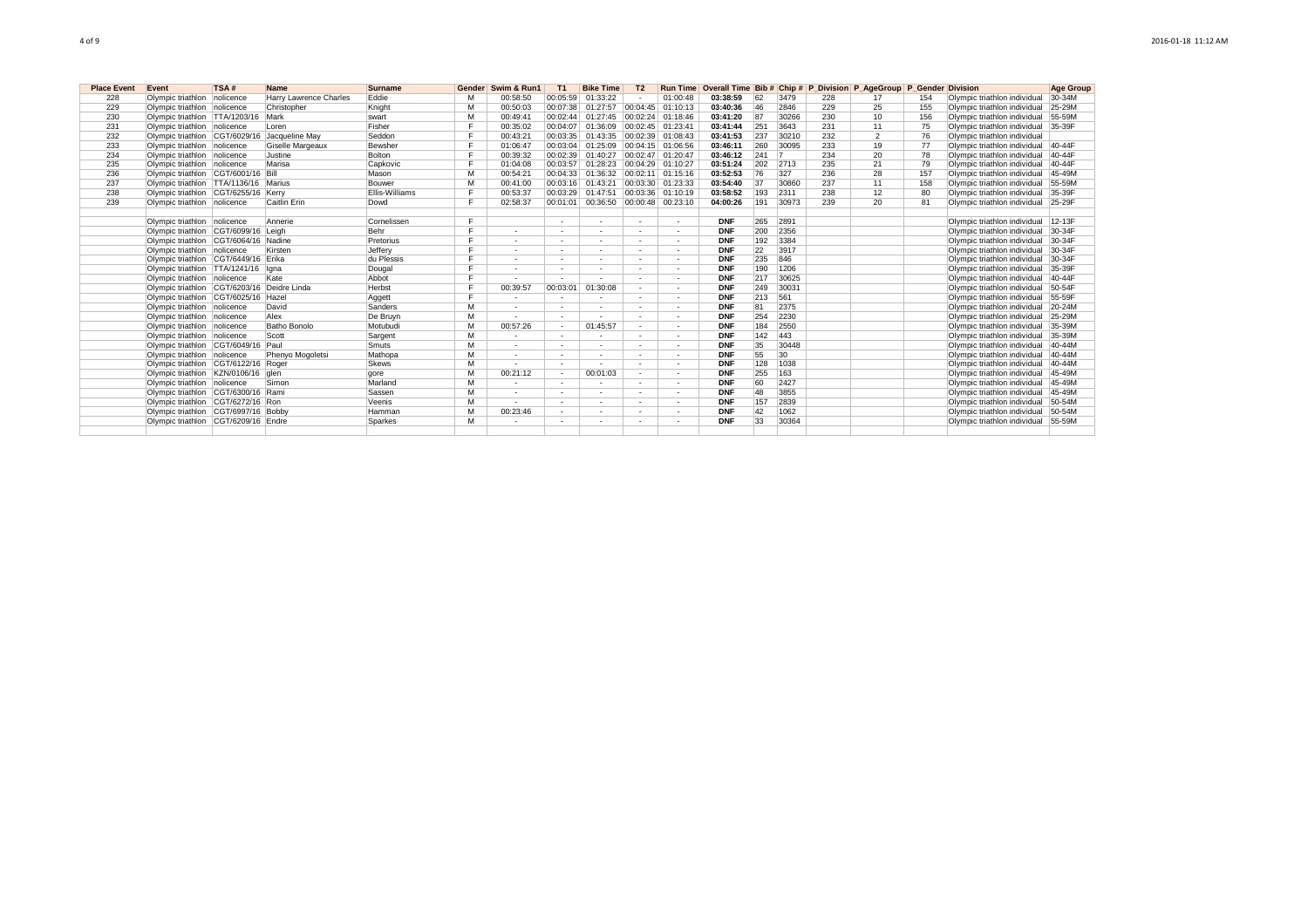| <b>Place Event</b> | Event                                        | TSA# | <b>Name</b>            | <b>Surname</b>        |    | Gender   Swim & Run1     | T <sub>1</sub>           | <b>Bike Time</b>                    | T <sub>2</sub>           |                          | Run Time Overall Time Bib # Chip # P Division P AgeGroup P Gender Division |     |                 |     |                |     |                                     | <b>Age Group</b> |
|--------------------|----------------------------------------------|------|------------------------|-----------------------|----|--------------------------|--------------------------|-------------------------------------|--------------------------|--------------------------|----------------------------------------------------------------------------|-----|-----------------|-----|----------------|-----|-------------------------------------|------------------|
| 228                | Olympic triathlon nolicence                  |      | Harry Lawrence Charles | Eddie                 |    | 00:58:50                 | 00:05:59                 | 01:33:22                            |                          | 01:00:48                 | 03:38:59                                                                   | 62  | 3479            | 228 | 17             | 154 | Olympic triathlon individual        | 30-34M           |
| 229                | Olympic triathlon nolicence                  |      | Christopher            | Knight                | м  | 00:50:03                 | 00:07:38                 | 01:27:57 00:04:45 01:10:13          |                          |                          | 03:40:36                                                                   | 46  | 2846            | 229 | 25             | 155 | Olympic triathlon individual        | 25-29M           |
| 230                | Olympic triathlon TTA/1203/16 Mark           |      |                        | swart                 | м  | 00:49:41                 |                          | 00:02:44 01:27:45 00:02:24 01:18:46 |                          |                          | 03:41:20                                                                   | 87  | 30266           | 230 | 10             | 156 | Olympic triathlon individual        | 55-59M           |
| 231                | Olympic triathlon nolicence                  |      | Loren                  | Fisher                |    | 00:35:02                 |                          | 00:04:07 01:36:09 00:02:45 01:23:41 |                          |                          | 03:41:44                                                                   | 251 | 3643            | 231 | 11             | 75  | Olympic triathlon individual 35-39F |                  |
| 232                | Olympic triathlon CGT/6029/16 Jacqueline May |      |                        | Seddon                |    | 00:43:21                 |                          | 00:03:35 01:43:35 00:02:39 01:08:43 |                          |                          | 03:41:53                                                                   | 237 | 30210           | 232 | $\overline{2}$ | 76  | Olympic triathlon individual        |                  |
| 233                | Olympic triathlon nolicence                  |      | Giselle Margeaux       | Bewsher               |    | 01:06:47                 |                          | 00:03:04 01:25:09 00:04:15 01:06:56 |                          |                          | 03:46:11                                                                   | 260 | 30095           | 233 | 19             | 77  | Olympic triathlon individual 40-44F |                  |
| 234                | Olympic triathlon nolicence                  |      | Justine                | Bolton                |    | 00:39:32                 |                          | 00:02:39 01:40:27 00:02:47 01:20:47 |                          |                          | 03:46:12                                                                   | 241 | $\overline{7}$  | 234 | 20             | 78  | Olympic triathlon individual 40-44F |                  |
| 235                | Olympic triathlon nolicence                  |      | Marisa                 | Capkovic              |    | 01:04:08                 |                          | 00:03:57 01:28:23 00:04:29 01:10:27 |                          |                          | 03:51:24                                                                   | 202 | 2713            | 235 | 21             | 79  | Olympic triathlon individual 40-44F |                  |
| 236                | Olympic triathlon CGT/6001/16 Bill           |      |                        | Mason                 | м  | 00:54:21                 |                          | 00:04:33 01:36:32 00:02:11 01:15:16 |                          |                          | 03:52:53                                                                   | 76  | 327             | 236 | 28             | 157 | Olympic triathlon individual 45-49M |                  |
| 237                | Olympic triathlon TTA/1136/16 Marius         |      |                        | Bouwer                | м  | 00:41:00                 |                          | 00:03:16 01:43:21                   |                          | 00:03:30 01:23:33        | 03:54:40                                                                   | 37  | 30860           | 237 | 11             | 158 | Olympic triathlon individual 55-59M |                  |
| 238                | Olympic triathlon CGT/6255/16 Kerry          |      |                        | <b>Ellis-Williams</b> |    | 00:53:37                 |                          | 00:03:29 01:47:51                   |                          | 00:03:36 01:10:19        | 03:58:52                                                                   | 193 | 2311            | 238 | 12             | 80  | Olympic triathlon individual        | 35-39F           |
| 239                | Olympic triathlon nolicence                  |      | Caitlin Erin           | Dowd                  | Е  | 02:58:37                 | 00:01:01                 | 00:36:50 00:00:48 00:23:10          |                          |                          | 04:00:26                                                                   | 191 | 30973           | 239 | 20             | 81  | Olympic triathlon individual        | 25-29F           |
|                    |                                              |      |                        |                       |    |                          |                          |                                     |                          |                          |                                                                            |     |                 |     |                |     |                                     |                  |
|                    | Olympic triathlon nolicence                  |      | Annerie                | Cornelissen           |    |                          | $\sim$                   | $\overline{\phantom{a}}$            | $\sim$                   | $\sim$                   | <b>DNF</b>                                                                 | 265 | 2891            |     |                |     | Olympic triathlon individual        | $12-13F$         |
|                    | Olympic triathlon CGT/6099/16 Leigh          |      |                        | Behr                  | F. | $\overline{\phantom{a}}$ | $\sim$                   | $\overline{\phantom{a}}$            | $\sim$                   | $\sim$                   | <b>DNF</b>                                                                 | 200 | 2356            |     |                |     | Olympic triathlon individual        | 30-34F           |
|                    | Olympic triathlon CGT/6064/16 Nadine         |      |                        | Pretorius             | F. | $\overline{\phantom{a}}$ | $\sim$                   | $\overline{\phantom{a}}$            | $\sim$                   | ۰.                       | <b>DNF</b>                                                                 | 192 | 3384            |     |                |     | Olympic triathlon individual        | 30-34F           |
|                    | Olympic triathlon nolicence                  |      | Kirsten                | Jefferv               | Е  |                          | $\sim$                   | $\overline{\phantom{a}}$            | $\sim$                   | ۰.                       | <b>DNF</b>                                                                 | 22  | 3917            |     |                |     | Olympic triathlon individual        | 30-34F           |
|                    | Olympic triathlon CGT/6449/16 Erika          |      |                        | du Plessis            | F  | ٠                        | $\sim$                   | ٠                                   | $\sim$                   | $\overline{\phantom{a}}$ | <b>DNF</b>                                                                 | 235 | 846             |     |                |     | Olympic triathlon individual        | 30-34F           |
|                    | Olympic triathlon TTA/1241/16 Ilgna          |      |                        | Dougal                | F. | ٠                        | $\sim$                   | ٠                                   | $\sim$                   | $\sim$                   | <b>DNF</b>                                                                 | 190 | 1206            |     |                |     | Olympic triathlon individual        | 35-39F           |
|                    | Olympic triathlon nolicence                  |      | Kate                   | Abbot                 | Ε. |                          |                          |                                     | $\sim$                   | $\overline{\phantom{a}}$ | <b>DNF</b>                                                                 | 217 | 30625           |     |                |     | Olympic triathlon individual        | 40-44F           |
|                    | Olympic triathlon CGT/6203/16 Deidre Linda   |      |                        | Herbst                | E  | 00:39:57                 | 00:03:01                 | 01:30:08                            | $\overline{\phantom{a}}$ | $\sim$                   | <b>DNF</b>                                                                 | 249 | 30031           |     |                |     | Olympic triathlon individual        | 50-54F           |
|                    | Olympic triathlon CGT/6025/16 Hazel          |      |                        | Aggett                | F. |                          |                          |                                     |                          | ٠                        | <b>DNF</b>                                                                 | 213 | 561             |     |                |     | Olympic triathlon individual        | 55-59F           |
|                    | Olympic triathlon nolicence                  |      | David                  | Sanders               | M  | ٠                        |                          |                                     |                          |                          | <b>DNF</b>                                                                 | 81  | 2375            |     |                |     | Olympic triathlon individual        | 20-24M           |
|                    | Olympic triathlon nolicence                  |      | Alex                   | De Bruvn              | м  |                          |                          |                                     | $\overline{\phantom{a}}$ | $\overline{\phantom{a}}$ | <b>DNF</b>                                                                 | 254 | 2230            |     |                |     | Olympic triathlon individual        | 25-29M           |
|                    | Olympic triathlon nolicence                  |      | Batho Bonolo           | Motubudi              | м  | 00:57:26                 | $\sim$                   | 01:45:57                            | $\overline{\phantom{a}}$ | $\overline{\phantom{a}}$ | <b>DNF</b>                                                                 | 184 | 2550            |     |                |     | Olympic triathlon individual        | 35-39M           |
|                    | Olympic triathlon nolicence                  |      | Scott                  | Sargent               | M  |                          |                          |                                     |                          | ۰.                       | <b>DNF</b>                                                                 | 142 | 443             |     |                |     | Olympic triathlon individual        | 35-39M           |
|                    | Olympic triathlon CGT/6049/16 Paul           |      |                        | Smuts                 | м  | ٠                        |                          | $\overline{\phantom{a}}$            | $\sim$                   | $\overline{\phantom{a}}$ | <b>DNF</b>                                                                 | 35  | 30448           |     |                |     | Olympic triathlon individual        | $40 - 44M$       |
|                    | Olympic triathlon nolicence                  |      | Phenyo Mogoletsi       | Mathopa               | м  | $\overline{\phantom{a}}$ |                          | $\overline{\phantom{a}}$            | $\sim$                   | $\sim$                   | <b>DNF</b>                                                                 | 55  | 30 <sup>°</sup> |     |                |     | Olympic triathlon individual        | $40 - 44M$       |
|                    | Olympic triathlon CGT/6122/16 Roger          |      |                        | <b>Skews</b>          | M  |                          |                          |                                     | $\sim$                   | $\overline{\phantom{a}}$ | <b>DNF</b>                                                                 | 128 | 1038            |     |                |     | Olympic triathlon individual        | 40-44M           |
|                    | Olympic triathlon KZN/0106/16 dlen           |      |                        | aore                  | м  | 00:21:12                 | $\overline{\phantom{a}}$ | 00:01:03                            | $\overline{\phantom{a}}$ | $\sim$                   | <b>DNF</b>                                                                 | 255 | 163             |     |                |     | Olympic triathlon individual        | 45-49M           |
|                    | Olympic triathlon nolicence                  |      | Simon                  | Marland               | м  | ٠                        |                          | $\overline{\phantom{a}}$            | $\sim$                   | $\sim$                   | <b>DNF</b>                                                                 | 60  | 2427            |     |                |     | Olympic triathlon individual        | 45-49M           |
|                    | Olympic triathlon CGT/6300/16 Rami           |      |                        | Sassen                | м  | ٠                        |                          | $\overline{\phantom{a}}$            | $\sim$                   | $\sim$                   | <b>DNF</b>                                                                 | 48  | 3855            |     |                |     | Olympic triathlon individual 45-49M |                  |
|                    | Olympic triathlon CGT/6272/16 Ron            |      |                        | Veenis                | м  | $\overline{\phantom{a}}$ | $\sim$                   | $\overline{\phantom{a}}$            | $\sim$                   | $\sim$                   | <b>DNF</b>                                                                 | 157 | 2839            |     |                |     | Olympic triathlon individual        | 50-54M           |
|                    | Olympic triathlon CGT/6997/16 Bobby          |      |                        | Hamman                | M  | 00:23:46                 | $\sim$                   | $\overline{\phantom{a}}$            | $\sim$                   | $\sim$                   | <b>DNF</b>                                                                 | 42  | 1062            |     |                |     | Olympic triathlon individual        | 50-54M           |
|                    | Olympic triathlon CGT/6209/16 Endre          |      |                        | Sparkes               | м  |                          |                          | $\overline{\phantom{a}}$            |                          | $\overline{\phantom{a}}$ | <b>DNF</b>                                                                 | 33  | 30364           |     |                |     | Olympic triathlon individual        | 55-59M           |
|                    |                                              |      |                        |                       |    |                          |                          |                                     |                          |                          |                                                                            |     |                 |     |                |     |                                     |                  |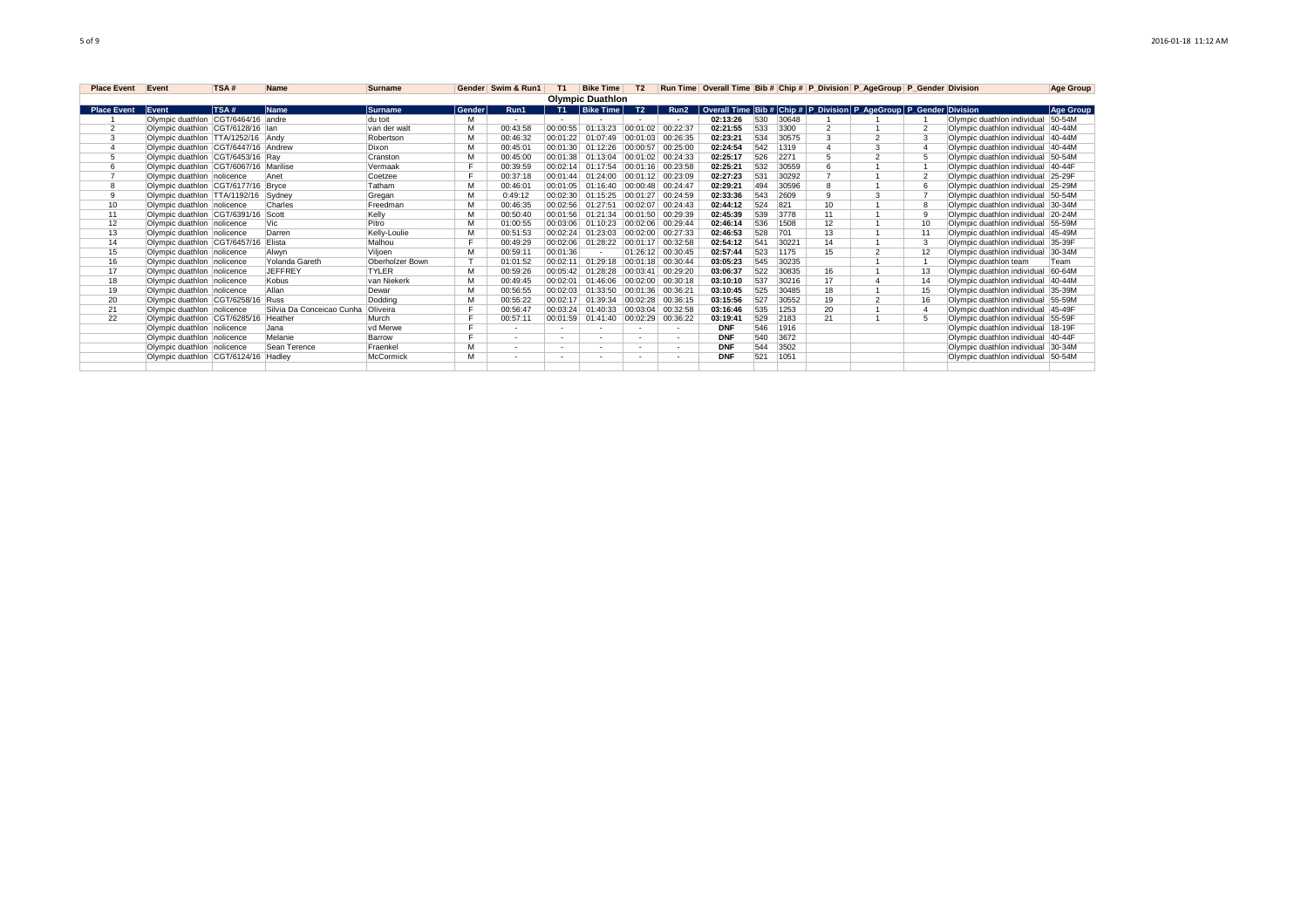| <b>Place Event</b> Event |                                       | TSA# | <b>Name</b>               | Surname         |        | Gender Swim & Run1 | T1       | <b>Bike Time</b>           | T <sub>2</sub> |                   |            |     |       |                 | Run Time Overall Time Bib # Chip # P Division P AgeGroup P Gender Division |                                    | Age Group |
|--------------------------|---------------------------------------|------|---------------------------|-----------------|--------|--------------------|----------|----------------------------|----------------|-------------------|------------|-----|-------|-----------------|----------------------------------------------------------------------------|------------------------------------|-----------|
|                          |                                       |      |                           |                 |        |                    |          | <b>Olympic Duathlon</b>    |                |                   |            |     |       |                 |                                                                            |                                    |           |
| <b>Place Event</b>       | Event                                 | TSA# | <b>Name</b>               | lSurname        | Gender | Run1               |          | T1 Bike Time               | T2             | Run <sub>2</sub>  |            |     |       |                 | Overall Time Bib # Chip # P Division P AgeGroup P Gender Division          |                                    | Age Group |
|                          | Olympic duathlon CGT/6464/16 andre    |      |                           | du toit         | м      |                    |          |                            |                |                   | 02:13:26   | 530 | 30648 |                 |                                                                            | Olympic duathlon individual 50-54M |           |
|                          | Olympic duathlon CGT/6128/16 Ian      |      |                           | van der walt    | M      | 00:43:58           | 00:00:55 | 01:13:23                   | 00:01:02       | 00:22:37          | 02:21:55   | 533 | 3300  |                 |                                                                            | Olympic duathlon individual 40-44M |           |
|                          | Olympic duathlon TTA/1252/16 Andy     |      |                           | Robertson       |        | 00:46:32           | 00:01:22 | 01:07:49                   | 00:01:03       | 00:26:35          | 02:23:21   | 534 | 30575 |                 | $\sim$                                                                     | Olympic duathlon individual 40-44M |           |
|                          | Olympic duathlon CGT/6447/16 Andrew   |      |                           | Dixon           | M      | 00:45:01           |          | 00:01:30 01:12:26 00:00:57 |                | 00:25:00          | 02:24:54   | 542 | 1319  |                 | 3                                                                          | Olympic duathlon individual 40-44M |           |
|                          | Olympic duathlon CGT/6453/16 Rav      |      |                           | Cranston        |        | 00:45:00           | 00:01:38 | 01:13:04                   | 00:01:02       | 00:24:33          | 02:25:17   | 526 | 2271  |                 | $\mathfrak{p}$                                                             | Olympic duathlon individual 50-54M |           |
|                          | Olympic duathlon CGT/6067/16 Marilise |      |                           | Vermaak         |        | 00:39:59           |          | 00:02:14 01:17:54          |                | 00:01:16 00:23:58 | 02:25:21   | 532 | 30559 |                 |                                                                            | Olympic duathlon individual 40-44F |           |
|                          | Olympic duathlon nolicence            |      | Anet                      | Coetzee         |        | 00:37:18           | 00:01:44 | 01:24:00                   | 00:01:12       | 00:23:09          | 02:27:23   | 531 | 30292 |                 |                                                                            | Olympic duathlon individual 25-29F |           |
|                          | Olympic duathlon CGT/6177/16 Bryce    |      |                           | Tatham          | M      | 00:46:01           | 00:01:05 | 01:16:40 00:00:48 00:24:47 |                |                   | 02:29:21   | 494 | 30596 |                 |                                                                            | Olympic duathlon individual 25-29M |           |
|                          | Olympic duathlon TTA/1192/16 Sydney   |      |                           | Gregan          | M      | 0:49:12            | 00:02:30 | 01:15:25                   | 00:01:27       | 00:24:59          | 02:33:36   | 543 | 2609  |                 | 3                                                                          | Olympic duathlon individual 50-54M |           |
| 10                       | Olympic duathlon nolicence            |      | Charles                   | Freedman        |        | 00:46:35           | 00:02:56 | 01:27:51                   | 00:02:07       | 00:24:43          | 02:44:12   | 524 | 821   | 10 <sup>1</sup> |                                                                            | Olympic duathlon individual 30-34M |           |
| 11                       | Olympic duathlon CGT/6391/16 Scott    |      |                           | Kelly           | M      | 00:50:40           | 00:01:56 | 01:21:34                   | 00:01:50       | 00:29:39          | 02:45:39   | 539 | 3778  | 11              |                                                                            | Olympic duathlon individual 20-24M |           |
| 12                       | Olympic duathlon nolicence            |      | Vic                       | Pitro           | M      | 01:00:55           | 00:03:06 | 01:10:23                   |                | 00:02:06 00:29:44 | 02:46:14   | 536 | 1508  | 12              |                                                                            | Olympic duathlon individual 55-59M |           |
| 13                       | Olympic duathlon nolicence            |      | Darren                    | Kelly-Loulie    | M      | 00:51:53           | 00:02:24 | 01:23:03                   | 00:02:00       | 00:27:33          | 02:46:53   | 528 | 701   | 13              |                                                                            | Olympic duathlon individual 45-49M |           |
| 14                       | Olympic duathlon CGT/6457/16          |      | Elista                    | Malhou          |        | 00:49:29           | 00:02:06 | 01:28:22                   | 00:01:17       | 00:32:58          | 02:54:12   |     | 30221 | 14              |                                                                            | Olympic duathlon individual 35-39F |           |
| 15                       | Olympic duathlon nolicence            |      | Alwyn                     | Viljoen         | M      | 00:59:1            | 00:01:36 | . .                        | 01:26:12       | 00:30:45          | 02:57:44   | 523 | 1175  | 15              | $\mathfrak{p}$                                                             | Olympic duathlon individual        | $30-34M$  |
| 16                       | Olympic duathlon nolicence            |      | Yolanda Gareth            | Oberholzer Bown |        | 01:01:52           | 00:02:11 | 01:29:18                   | 00:01:18       | 00:30:44          | 03:05:23   | 545 | 30235 |                 |                                                                            | Olympic duathlon team              | Team      |
| 17                       | Olympic duathlon nolicence            |      | <b>JEFFREY</b>            | <b>TYLER</b>    | M      | 00:59:26           | 00:05:42 | 01:28:28                   | 00:03:41       | 00:29:20          | 03:06:37   | 522 | 30835 | 16              |                                                                            | Olympic duathlon individual 60-64M |           |
| 18                       | Olympic duathlon nolicence            |      | Kobus                     | van Niekerk     |        | 00:49:45           | 00:02:01 | 01:46:06                   | 00:02:00       | 00:30:18          | 03:10:10   | 537 | 30216 | 17              |                                                                            | Olympic duathlon individual 40-44M |           |
| 19                       | Olympic duathlon nolicence            |      | Allan                     | Dewar           |        | 00:56:55           | 00:02:03 | 01:33:50                   | 00:01:36       | 00:36:21          | 03:10:45   | 525 | 30485 | 18              |                                                                            | Olympic duathlon individual 35-39M |           |
| 20                       | Olympic duathlon CGT/6258/16 Russ     |      |                           | Dodding         |        | 00:55:22           | 00:02:17 | 01:39:34                   | 00:02:28       | 00:36:15          | 03:15:56   | 527 | 30552 | 19              | $\mathfrak{p}$                                                             | Olympic duathlon individual 55-59M |           |
| 21                       | Olympic duathlon nolicence            |      | Silvia Da Conceicao Cunha | Oliveira        |        | 00:56:47           |          | 00:03:24 01:40:33 00:03:04 |                | 00:32:58          | 03:16:46   | 535 | 1253  | 20              |                                                                            | Olympic duathlon individual 45-49F |           |
| 22                       | Olympic duathlon CGT/6285/16          |      | Heather                   | Murch           |        | 00:57:1            | 00:01:59 | 01:41:40 00:02:29          |                | 00:36:22          | 03:19:41   | 529 | 2183  | 21              |                                                                            | Olympic duathlon individual 55-59F |           |
|                          | Olympic duathlon nolicence            |      | Jana                      | vd Merwe        | Е      | $\sim$             | $\sim$   | ٠                          | $\sim$         |                   | <b>DNF</b> | 546 | 1916  |                 |                                                                            | Olympic duathlon individual 18-19F |           |
|                          | Olympic duathlon nolicence            |      | Melanie                   | Barrow          | е      | $\sim$             |          | ٠                          |                |                   | <b>DNF</b> | 540 | 3672  |                 |                                                                            | Olympic duathlon individual 40-44F |           |
|                          | Olympic duathlon nolicence            |      | Sean Terence              | Fraenkel        | M      | $\sim$             |          | $\sim$                     | $\sim$         |                   | <b>DNF</b> | 544 | 3502  |                 |                                                                            | Olympic duathlon individual 30-34M |           |
|                          | Olympic duathlon CGT/6124/16          |      | Hadley                    | McCormick       | M      |                    |          | ٠                          |                |                   | <b>DNF</b> | 521 | 1051  |                 |                                                                            | Olympic duathlon individual 50-54M |           |
|                          |                                       |      |                           |                 |        |                    |          |                            |                |                   |            |     |       |                 |                                                                            |                                    |           |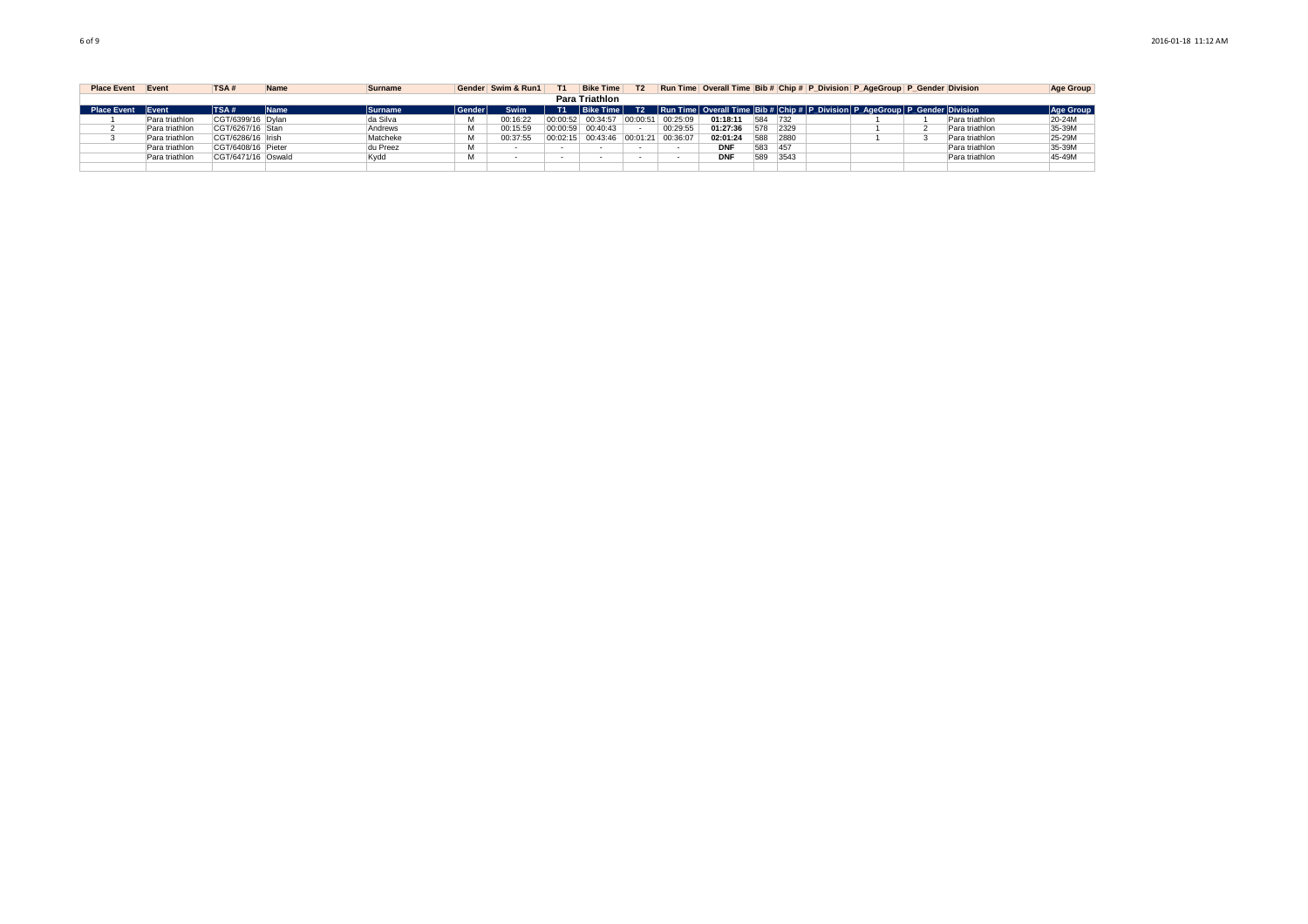| <b>Place Event</b> | Event          | TSA <sub>k</sub>   | <b>Name</b> | <b>Surname</b> |            | Gender Swim & Run1 | <b>Bike Time</b>  | T <sub>2</sub> |          |            |            |      | Run Time Overall Time Bib # Chip # P Division P AgeGroup P Gender Division               |                | Age Group |
|--------------------|----------------|--------------------|-------------|----------------|------------|--------------------|-------------------|----------------|----------|------------|------------|------|------------------------------------------------------------------------------------------|----------------|-----------|
|                    |                |                    |             |                |            |                    | Para Triathlon    |                |          |            |            |      |                                                                                          |                |           |
| <b>Place Event</b> | <b>IEvent</b>  | <b>TSA#</b>        | Name        | Surname        | l Gender l | Swim               | <b>Bike Time</b>  | T2             |          |            |            |      | Run Time   Overall Time   Bib #   Chip #   P Division   P AgeGroup   P Gender   Division |                | Age Group |
|                    | Para triathlon | CGT/6399/16 Dylan  |             | da Silva       |            | 00:16:22           | 00:00:52 00:34:57 | 00:00:51       | 00:25:09 | 01:18:11   | 584 732    |      |                                                                                          | Para triathlon | 20-24M    |
|                    | Para triathlon | CGT/6267/16 Stan   |             | Andrews        |            | 00:15:59           | 00:00:59 00:40:43 |                | 00:29:55 | 01:27:36   | 578 2329   |      |                                                                                          | Para triathlon | 35-39M    |
|                    | Para triathlon | CGT/6286/16 Irish  |             | Matcheke       | м          | 00:37:55           | 00:02:15 00:43:46 | 00:01:21       | 00:36:07 | 02:01:24   | 588        | 2880 |                                                                                          | Para triathlon | 25-29M    |
|                    | Para triathlon | CGT/6408/16 Pieter |             | du Preez       | м          |                    |                   |                |          | <b>DNF</b> | 583<br>457 |      |                                                                                          | Para triathlon | 35-39M    |
|                    | Para triathlon | CGT/6471/16 Oswald |             | Kvdd           | м          |                    |                   |                |          | <b>DNF</b> | 589        | 3543 |                                                                                          | Para triathlon | 45-49M    |
|                    |                |                    |             |                |            |                    |                   |                |          |            |            |      |                                                                                          |                |           |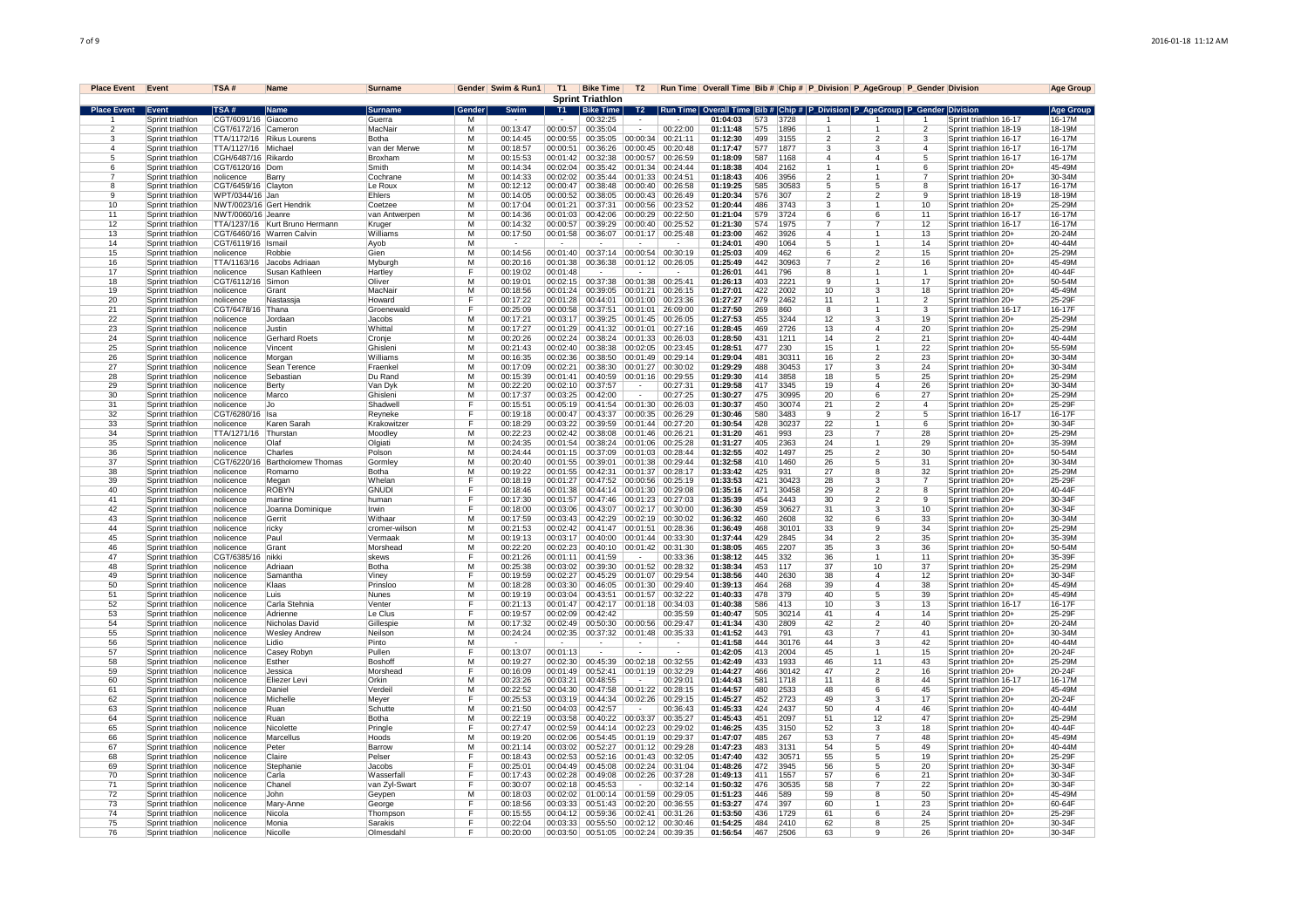| <b>Place Event</b> Event |                                      | TSA#                      | Name                           | <b>Surname</b>         |                | Gender Swim & Run1   | T1                   |                                 |                      |                               |                      |            |               |                | Bike Time   T2   Run Time   Overall Time   Bib #   Chip #   P_Division   P_AgeGroup   P_Gender Division |                                           |                                                  | <b>Age Group</b> |
|--------------------------|--------------------------------------|---------------------------|--------------------------------|------------------------|----------------|----------------------|----------------------|---------------------------------|----------------------|-------------------------------|----------------------|------------|---------------|----------------|---------------------------------------------------------------------------------------------------------|-------------------------------------------|--------------------------------------------------|------------------|
|                          |                                      |                           |                                |                        |                |                      |                      | <b>Sprint Triathlon</b>         |                      |                               |                      |            |               |                |                                                                                                         |                                           |                                                  |                  |
| Place Event Event        |                                      | TSA#                      | Name                           | Surname                | Gender         | Swim                 | T1                   | <b>Bike Time</b>                | T2                   |                               |                      |            |               |                | Run Time   Overall Time   Bib #   Chip #   P_Division   P_AgeGroup   P_Gender   Division                |                                           |                                                  | Age Group        |
|                          | Sprint triathlon                     | CGT/6091/16 Giacomo       |                                | Guerra                 | м              |                      |                      | 00:32:25                        |                      |                               | 01:04:03             | 573        | 3728          |                |                                                                                                         |                                           | Sprint triathlon 16-17                           | 16-17M           |
| $\mathcal{P}$<br>-3      | Sprint triathlon<br>Sprint triathlon | CGT/6172/16 Cameron       | TTA/1172/16 Rikus Lourens      | MacNair<br>Botha       | м<br>M         | 00:13:47<br>00:14:45 | 00:00:57<br>00:00:55 | 00:35:04<br>00:35:05            | 00.0034              | 00:22:00<br>00:21:11          | 01:11:48<br>01:12:30 | 575<br>499 | 1896<br>3155  | $\mathfrak{p}$ | $\mathbf{1}$<br>$\mathfrak{p}$                                                                          | $\mathfrak{p}$<br>3                       | Sprint triathlon 18-19<br>Sprint triathlon 16-17 | 18-19M<br>16-17M |
| $\overline{4}$           | Sprint triathlon                     | TTA/1127/16 Michael       |                                | van der Merwe          | M              | 00:18:57             | 00:00:51             | 00:36:26                        | 00:00:45             | 00:20:48                      | 01:17:47             | 577        | 1877          | -3             | 3                                                                                                       | $\overline{4}$                            | Sprint triathlon 16-17                           | 16-17M           |
| 5                        | Sprint triathlon                     | CGH/6487/16 Rikardo       |                                | Broxham                | M              | 00:15:53             | 00:01:42             | 00:32:38                        | 00:00:57             | 00:26:59                      | 01:18:09             | 587        | 1168          | $\overline{4}$ | 4                                                                                                       | 5                                         | Sprint triathlon 16-17                           | 16-17M           |
| 6                        | Sprint triathlon                     | CGT/6120/16 Dom           |                                | Smith                  | м              | 00:14:34             | 00:02:04             | 00:35:42                        | 00:01:34             | 00:24:44                      | 01:18:38             | 404        | 2162          |                | 1                                                                                                       | 6                                         | Sprint triathlon 20+                             | 45-49M           |
|                          | Sprint triathlon                     | nolicence                 | Barry                          | Cochrane               | M              | 00:14:33             | 00:02:02             | 00:35:44                        | 00:01:33             | 00:24:51                      | 01:18:43             | 406        | 3956          | $\overline{2}$ | 1                                                                                                       | $\overline{7}$                            | Sprint triathlon 20+                             | 30-34M           |
| -8                       | Sprint triathlon                     | CGT/6459/16 Clayton       |                                | Le Roux                | M              | 00:12:12             | 00:00:47             | 00:38:48                        | 00:00:40             | 00:26:58                      | 01:19:25             | 585        | 30583         | -5             | 5                                                                                                       | 8                                         | Sprint triathlon 16-17                           | 16-17M           |
| 9                        | Sprint triathlon                     | WPT/0344/16 Jan           |                                | Ehlers                 | M              | 00:14:05             | 00:00:52             |                                 |                      | 00:38:05 00:00:43 00:26:49    | 01:20:34             | 576        | 307           | $\mathfrak{p}$ | $\overline{\mathbf{c}}$                                                                                 | 9                                         | Sprint triathlon 18-19                           | 18-19M           |
| 10                       | Sprint triathlon                     | NWT/0023/16 Gert Hendrik  |                                | Coetzee                | м              | 00:17:04             | 00:01:21             | 00:37:31 00:00:56               |                      | 00:23:52                      | 01:20:44             | 486        | 3743          | 3              |                                                                                                         | 10                                        | Sprint triathlon 20+                             | 25-29N           |
| 11<br>12                 | Sprint triathlon<br>Sprint triathlon | NWT/0060/16 Jeanre        | TTA/1237/16 Kurt Bruno Hermann | van Antwerpen          | м<br>м         | 00:14:36<br>00:14:32 | 00:01:03<br>00:00:57 | 00:42:06<br>00:39:29            | 00:00:40             | 00:00:29 00:22:50<br>00:25:52 | 01:21:04<br>01:21:30 | 579<br>574 | 3724<br>1975  | 6              | 6<br>7                                                                                                  | 11<br>12                                  | Sprint triathlon 16-17<br>Sprint triathlon 16-17 | 16-17M<br>16-17M |
| 13                       | Sprint triathlon                     |                           | CGT/6460/16 Warren Calvin      | Kruger<br>Williams     | M              | 00:17:50             | 00:01:58             | 00:36:07                        | 00:01:17             | 00:25:48                      | 01:23:00             | 462        | 3926          | $\overline{4}$ |                                                                                                         | 13                                        | Sprint triathlon 20+                             | $20 - 24$        |
| 14                       | Sprint triathlon                     | CGT/6119/16               | Ismai                          | Ayob                   | м              |                      |                      |                                 |                      |                               | 01:24:01             | 490        | 1064          |                |                                                                                                         | 14                                        | Sprint triathlon 20+                             | 40-44M           |
| 15                       | Sprint triathlon                     | nolicence                 | Robbie                         | Gien                   | м              | 00:14:56             | 00:01:40             | 00:37:14                        | 00:00:54             | 00:30:19                      | 01:25:03             | 409        | 462           | 6              | $\mathfrak{p}$                                                                                          | 15                                        | Sprint triathlon 20+                             | 25-29M           |
| 16                       | Sprint triathlon                     | TTA/1163/16               | Jacobs Adriaan                 | Mybural                | M              | 00:20:16             | 00:01:38             | 00:36:38                        | 00:01:12             | 00:26:05                      | 01:25:49             | 442        | 30963         |                | $\overline{2}$                                                                                          | 16                                        | Sprint triathlon 20+                             | 45-49M           |
| 17                       | Sprint triathlon                     | nolicence                 | Susan Kathleen                 | <b>Hartley</b>         |                | 00:19:02             | 00:01:48             |                                 |                      |                               | 01:26:01             | 441        | 796           | R              |                                                                                                         |                                           | Sprint triathlon 20+                             | 40-44F           |
| 18                       | Sprint triathlon                     | CGT/6112/16               | Simor                          | Oliver                 | м              | 00:19:01             | 00:02:15             | 00:37:38                        | 00:01:38             | 00:25:41                      | 01:26:13             | 403        | 222'          | 9              |                                                                                                         | 17                                        | Sprint triathlon 20+                             | 50-54M           |
| 19                       | Sprint triathlon                     | nolicence                 | Grant                          | MacNair                | м              | 00:18:56             | 00:01:24             | 00:39:05 00:01:21               |                      | 00:26:15                      | 01:27:01             | 422        | 2002          | 10             | 3                                                                                                       | 18                                        | Sprint triathlon 20+                             | 45-49M           |
| 20<br>21                 | Sprint triathlon<br>Sprint triathlon | nolicence<br>CGT/6478/16  | Nastassia                      | Howard<br>Groenewald   | F<br>E         | 00:17:22<br>00:25:09 | 00:01:28<br>00:00:58 | 00:44:01<br>00:37:51            | 00:01:00<br>00:01:01 | 00:23:36<br>26:09:00          | 01:27:27<br>01:27:50 | 479<br>269 | 2462<br>860   | 11             | 1                                                                                                       | $\mathfrak{p}$<br>$\overline{\mathbf{3}}$ | Sprint triathlon 20+<br>Sprint triathlon 16-17   | 25-29F<br>16-17F |
| 22                       | Sprint triathlon                     | nolicence                 | <b>Thana</b><br>Jordaar        | Jacobs                 | М              | 00:17:21             | 00:03:17             | 00:39:25                        | 00:01:45             | 00:26:05                      | 01:27:53             | 455        | 3244          | 8<br>12        | 3                                                                                                       | 19                                        | Sprint triathlon 20+                             | 25-29M           |
| 23                       | Sprint triathlon                     | nolicence                 | Justin                         | Whittal                | м              | 00:17:27             | 00:01:29             | 00:41:32                        | 00:01:01             | 00:27:16                      | 01:28:45             | 469        | 2726          | 13             | $\overline{4}$                                                                                          | 20                                        | Sprint triathlon 20+                             | 25-29M           |
| 24                       | Sprint triathlon                     | nolicence                 | Gerhard Roets                  | Cronje                 | M              | 00:20:26             | 00:02:24             | 00:38:24                        | 00:01:33             | 00:26:03                      | 01:28:50             | 431        | 1211          | 14             | $\mathfrak{p}$                                                                                          | 21                                        | Sprint triathlon 20+                             | 40-44M           |
| 25                       | Sprint triathlon                     | nolicence                 | Vincent                        | Ghislen                | $\overline{M}$ | 00:21:43             | 00:02:40             | 00:38:38                        | 00:02:05             | 00:23:45                      | 01:28:51             | 477        | 230           | 15             | 1                                                                                                       | 22                                        | Sprint triathlon 20+                             | 55-59M           |
| 26                       | Sprint triathlon                     | nolicence                 | Morgan                         | Williams               | M              | 00:16:35             | 00:02:36             | 00:38:50                        | 00:01:49             | 00:29:14                      | 01:29:04             | 481        | 30311         | 16             | $\overline{2}$                                                                                          | 23                                        | Sprint triathlon 20+                             | 30-34M           |
| 27                       | Sprint triathlon                     | nolicence                 | Sean Terence                   | Fraenke                | м              | 00:17:09             | 00:02:21             | 00:38:30 00:01:27               |                      | 00:30:02                      | 01:29:29             | 488        | 30453         | 17             | 3                                                                                                       | 24                                        | Sprint triathlon 20+                             | 30-34M           |
| 28                       | Sprint triathlon                     | nolicence                 | Sebastian                      | Du Rand                | M              | 00:15:39             | 00:01:41             |                                 |                      | 00:40:59  00:01:16  00:29:55  | 01:29:30             | 414        | 3858          | 18             | 5                                                                                                       | 25                                        | Sprint triathlon 20+                             | 25-29N           |
| 29                       | Sprint triathlon                     | nolicence                 | Berty                          | Van Dvk                | M              | 00.22.20             | 00:02:10             | 00:37:57                        |                      | 00.27.31                      | 01.29.58             | 417        | 3345          | 19             | 4                                                                                                       | 26                                        | Sprint triathlon 20+                             | 30-34M           |
| 30                       | Sprint triathlon                     | nolicence                 | Marco                          | Ghisleni               | M              | 00:17:37             | 00:03:25             | 00:42:00                        |                      | 00:27:25                      | 01:30:27             | 475        | 30995         | 20             | 6                                                                                                       | 27                                        | Sprint triathlon 20+                             | 25-29M           |
| 31                       | Sprint triathlon                     | nolicence                 | Jo                             | Shadwel                | Е              | 00:15:51             | 00:05:19<br>00:00:47 | 00:41:54                        | 00:01:30             | 00:26:03                      | 01:30:37<br>01:30:46 | 450        | 30074<br>3483 | 21             | $\overline{2}$<br>$\overline{2}$                                                                        | $\overline{4}$                            | Sprint triathlon 20+                             | 25-29F           |
| 32<br>33                 | Sprint triathlon<br>Sprint triathlon | CGT/6280/16<br>Inolicence | Isa<br>Karen Sarah             | Revneke<br>Krakowitzer | F              | 00:19:18<br>00:18:29 | 00:03:22             | 00:43:37<br>00:39:59            | 00:00:35<br>00:01:44 | 00:26:29<br>00:27:20          | 01.30.54             | 580<br>428 | 30237         | 9<br>22        | -1                                                                                                      | 5<br>6                                    | Sprint triathlon 16-17<br>Sprint triathlon 20+   | 16-17F<br>30-34F |
| 34                       | Sprint triathlon                     | TTA/1271/16               | Thurstan                       | Moodle <sup>®</sup>    | M              | 00:22:23             | 00:02:42             | 00:38:08                        | 00:01:46             | 00:26:21                      | 01:31:20             | 461        | 993           | 23             | $\overline{7}$                                                                                          | 28                                        | Sprint triathlon 20+                             | 25-29M           |
| 35                       | Sprint triathlon                     | nolicence                 | Olat                           | Olgiati                | M              | 00:24:35             | 00:01:54             | 00:38:24                        | 00:01:06             | 00:25:28                      | 01:31:27             | 405        | 2363          | 24             |                                                                                                         | 29                                        | Sprint triathlon 20+                             | 35-39M           |
| 36                       | Sprint triathlon                     | nolicence                 | Charles                        | Polson                 | M              | 00:24:44             | 00:01:15             | 00:37:09                        | 00:01:03             | 00:28:44                      | 01:32:55             | 402        | 1497          | 25             | $\overline{2}$                                                                                          | 30                                        | Sprint triathlon 20+                             | 50-54M           |
| 37                       | Sprint triathlon                     | CGT/6220/16               | Bartholomew Thomas             | Gormley                | M              | 00:20:40             | 00:01:55             | 00:39:01                        | 00.01.38             | 00:29:44                      | 01:32:58             | 410        | 1460          | 26             | 5                                                                                                       | 31                                        | Sprint triathlon 20+                             | 30-34M           |
| 38                       | Sprint triathlon                     | nolicence                 | Romarno                        | <b>Botha</b>           | M              | 00:19:22             | 00:01:55             | 00:42:31                        | 00:01:37             | 00:28:17                      | 01:33:42             | 425        | 931           | 27             | 8                                                                                                       | 32                                        | Sprint triathlon 20+                             | 25-29M           |
| 39                       | Sprint triathlon                     | nolicence                 | Megan                          | Whelan                 | F              | 00:18:19             | 00:01:27             | 00:47:52                        | 00:00:56             | 00:25:19                      | 01:33:53             | 421        | 30423         | 28             | 3                                                                                                       | $\overline{7}$                            | Sprint triathlon 20+                             | 25-29F           |
| 40                       | Sprint triathlon                     | nolicence                 | <b>ROBYN</b>                   | <b>GNUDI</b>           | Е              | 00:18:46             | 00:01:38             | 00:44:14                        | 00:01:30             | 00:29:08                      | 01:35:16             | 471        | 30458         | 29             | $\overline{2}$                                                                                          | 8                                         | Sprint triathlon 20+                             | $40 - 44F$       |
| 41<br>42                 | Sprint triathlon                     | nolicence                 | martine                        | human                  | F<br>F         | 00:17:30<br>00:18:00 | 00:01:57<br>00:03:06 | 00:47:46<br>$00:43:07$ 00:02:17 | 00:01:23             | 00:27:03<br>00:30:00          | 01:35:39<br>01:36:30 | 454<br>459 | 2443<br>30627 | 30<br>31       | $\overline{2}$<br>3                                                                                     | 9<br>10                                   | Sprint triathlon 20+                             | 30-34F<br>30-34F |
| 43                       | Sprint triathlon<br>Sprint triathlon | nolicence<br>nolicence    | Joanna Dominique<br>Gerrit     | Irwin<br>Withaar       | M              | 00:17:59             | 00:03:43             | 00:42:29 00:02:19               |                      | 00:30:02                      | 01:36:32             | 460        | 2608          | 32             | 6                                                                                                       | 33                                        | Sprint triathlon 20+<br>Sprint triathlon 20+     | 30-34M           |
| 44                       | Sprint triathlon                     | nolicence                 | ricky                          | cromer-wilson          | M              | 00:21:53             | 00:02:42             | 00:41:47 00:01:51               |                      | 00:28:36                      | 01:36:49             | 468        | 30101         | 33             | 9                                                                                                       | 34                                        | Sprint triathlon 20+                             | 25-29N           |
| 45                       | Sprint triathlon                     | nolicence                 | Paul                           | Vermaak                | м              | 00:19:13             | 00:03:17             | 00:40:00   00:01:44             |                      | 00:33:30                      | 01:37:44             | 429        | 2845          | 34             | $\overline{\mathbf{c}}$                                                                                 | 35                                        | Sprint triathlon 20+                             | 35-39N           |
| 46                       | Sprint triathlon                     | nolicence                 | Grant                          | Morshead               | M              | 00:22:20             | 00:02:23             | 00:40:10                        | 00:01:42             | 00:31:30                      | 01:38:05             | 465        | 2207          | 35             | 3                                                                                                       | 36                                        | Sprint triathlon 20+                             | 50-54M           |
| 47                       | Sprint triathlon                     | CGT/6385/16               | nikki                          | skews                  |                | 00:21:26             | 00:01:11             | 00:41:59                        |                      | 00:33:36                      | 01:38:12             | 445        | 332           | 36             |                                                                                                         | 11                                        | Sprint triathlon 20+                             | 35-39F           |
| 48                       | Sprint triathlon                     | nolicence                 | Adriaan                        | <b>Botha</b>           | М              | 00:25:38             | 00:03:02             | 00:39:30                        | 00:01:52             | 00:28:32                      | 01:38:34             | 453        | 117           | 37             | 10                                                                                                      | 37                                        | Sprint triathlon 20+                             | 25-29M           |
| 49                       | Sprint triathlon                     | nolicence                 | Samantha                       | Viney                  |                | 00:19:59             | 00:02:27             | 00:45:29                        | 00:01:07             | 00:29:54                      | 01:38:56             | 440        | 2630          | 38             | $\overline{4}$                                                                                          | 12                                        | Sprint triathlon 20+                             | 30-34F           |
| 50                       | Sprint triathlon                     | nolicence                 | Klaas                          | Prinsloo               | M<br>M         | 00:18:28             | 00:03:30             | 00:46:05                        | 00:01:30             | 00:29:40                      | 01:39:13             | 464        | 268           | 39<br>40       | $\overline{4}$<br>$\overline{5}$                                                                        | 38                                        | Sprint triathlon 20+                             | 45-49M           |
| 51<br>52                 | Sprint triathlon<br>Sprint triathlon | nolicence<br>nolicence    | Luis<br>Carla Stehnia          | Nunes<br>Venter        | F              | 00:19:19<br>00:21:13 | 00:03:04<br>00:01:47 | 00:43:51<br>00:42:17            | 00:01:57<br>00:01:18 | 00:32:22<br>00:34:03          | 01:40:33<br>01:40:38 | 478<br>586 | 379<br>413    | 10             | 3                                                                                                       | 39<br>13                                  | Sprint triathlon 20+<br>Sprint triathlon 16-17   | 45-49M<br>16-17F |
| 53                       | Sprint triathlon                     | nolicence                 | Adrienne                       | Le Clus                |                | 00:19:57             | 00:02:09             | 00:42:42                        |                      | 00:35:59                      | 01:40:47             | 505        | 30214         | 41             | $\overline{4}$                                                                                          | 14                                        | Sprint triathlon 20+                             | 25-29F           |
| 54                       | Sprint triathlon                     | nolicence                 | Nicholas David                 | Gillespie              | M              | 00:17:32             | 00:02:49             | 00:50:30                        | 00:00:56             | 00:29:47                      | 01:41:34             | 430        | 2809          | 42             | $\overline{2}$                                                                                          | 40                                        | Sprint triathlon 20+                             | 20-24M           |
| 55                       | Sprint triathlon                     | nolicence                 | <b>Wesley Andrew</b>           | Neilson                | M              | 00:24:24             | 00:02:35             | 00:37:32                        | 00:01:48             | 00:35:33                      | 01:41:52             | 443        | 791           | 43             | 7                                                                                                       | 41                                        | Sprint triathlon 20+                             | 30-34M           |
| 56                       | Sprint triathlon                     | nolicence                 | Lidio                          | Pinto                  | м              |                      |                      |                                 |                      |                               | 01:41:58             | 444        | 30176         | 44             | 3                                                                                                       | 42                                        | Sprint triathlon 20+                             | 40-44M           |
| 57                       | Sprint triathlon                     | nolicence                 | Casey Robyn                    | Pullen                 | E              | 00:13:07             | 00:01:13             |                                 |                      |                               | 01:42:05             | 413        | 2004          | 45             | $\mathbf{1}$                                                                                            | 15                                        | Sprint triathlon 20+                             | 20-24F           |
| 58                       | Sprint triathlon                     | nolicence                 | Esther                         | <b>Boshoft</b>         | M              | 00:19:27             | 00:02:30             | 00:45:39                        | 00:02:18             | 00:32:55                      | 01:42:49             | 433        | 1933          | 46             | 11                                                                                                      | 43                                        | Sprint triathlon 20+                             | 25-29N           |
| 59                       | Sprint triathlon                     | nolicence                 | Jessica                        | Morshead               | E              | 00:16:09             | 00:01:49             | 00:52:41                        | 00:01:19             | 00:32:29                      | 01:44:27             | 466        | 30142         | 47             | $\overline{2}$                                                                                          | 16                                        | Sprint triathlon 20+                             | 20-24F           |
| 60<br>61                 | Sprint triathlon<br>Sprint triathlon | nolicence<br>nolicence    | <b>Eliezer Levi</b><br>Daniel  | Orkin<br>Verdei        | M<br>м         | 00:23:26<br>00:22:52 | 00:03:21<br>00:04:30 | 00:48:55<br>00:47:58 00:01:22   |                      | 00:29:01<br>00:28:15          | 01:44:43<br>01:44:57 | 581<br>480 | 1718<br>2533  | 11<br>48       | 8<br>6                                                                                                  | 44<br>45                                  | Sprint triathlon 16-17<br>Sprint triathlon 20+   | 16-17M<br>45-49M |
| 62                       | Sprint triathlon                     | nolicence                 | Michelle                       | Mever                  |                | 00:25:53             | 00:03:19             | 00:44:34 00:02:26               |                      | 00:29:15                      | 01:45:27             | 452        | 2723          | 49             | 3                                                                                                       | 17                                        | Sprint triathlon 20+                             | $20 - 24F$       |
| 63                       | Sprint triathlon                     | nolicence                 | Ruan                           | Schutte                | M              | 00.21.50             | 00.04.03             | 00.42.57                        |                      | 00.36.43                      | 01.45.33             | 424        | 2437          | 50             | 4                                                                                                       | 46                                        | Sprint triathlon 20+                             | 40-44M           |
| 64                       | Sprint triathlon                     | nolicence                 | Ruan                           | Botha                  | M              | 00:22:19             | 00:03:58             | 00:40:22                        | 00:03:37             | 00:35:27                      | 01:45:43             | 451        | 2097          | 51             | 12                                                                                                      | 47                                        | Sprint triathlon 20+                             | 25-29M           |
| 65                       | Sprint triathlon                     | nolicence                 | Nicolette                      | Pringle                |                | 00:27:47             | 00:02:59             | 00:44:14                        | 00:02:23             | 00:29:02                      | 01:46:25             | 435        | 3150          | 52             | 3                                                                                                       | 18                                        | Sprint triathlon 20+                             | 40-44F           |
| 66                       | Sprint triathlon                     | nolicence                 | Marcellus                      | Hoods                  | м              | 00:19:20             | 00:02:06             | 00:54:45                        | 00:01:19             | 00:29:37                      | 01:47:07             | 485        | 267           | 53             | $\overline{7}$                                                                                          | 48                                        | Sprint triathlon 20+                             | 45-49M           |
| 67                       | Sprint triathlon                     | nolicence                 | Peter                          | Barrow                 | M              | 00:21:14             | 00:03:02             | 00:52:27                        | 00:01:12             | 00:29:28                      | 01.47.23             | 483        | 3131          | 54             | 5                                                                                                       | 49                                        | Sprint triathlon 20+                             | $40 - 44M$       |
| 68                       | Sprint triathlon                     | nolicence                 | Claire                         | Pelser                 | F              | 00:18:43             | 00:02:53             | 00:52:16                        | 00:01:43             | 00:32:05                      | 01:47:40             | 432        | 30571         | 55             | 5                                                                                                       | 19                                        | Sprint triathlon 20+                             | 25-29F           |
| 69                       | Sprint triathlon                     | nolicence                 | Stephanie                      | Jacobs                 | E              | 00:25:01             | 00:04:49             | 00:45:08                        | 00:02:24             | 00:31:04                      | 01:48:26             | 472        | 3945          | 56             | 5                                                                                                       | 20                                        | Sprint triathlon 20+                             | 30-34F           |
| 70<br>71                 | Sprint triathlon                     | nolicence                 | Carla                          | Wasserfal              | F              | 00:17:43             | 00:02:28             | 00:49:08                        | 00:02:26<br>$\sim$   | 00:37:28                      | 01:49:13             | 411<br>476 | 1557          | 57             | 6                                                                                                       | 21                                        | Sprint triathlon 20+                             | 30-34F<br>30-34F |
| 72                       | Sprint triathlon<br>Sprint triathlon | nolicence<br>nolicence    | Chane<br>John.                 | van Zyl-Swart          | M              | 00:30:07<br>00:18:03 | 00:02:18<br>00:02:02 | 00:45:53<br>01:00:14            | 00:01:59             | 00:32:14<br>00:29:05          | 01:50:32<br>01:51:23 | 446        | 30535<br>589  | 58<br>59       | 7<br>8                                                                                                  | 22<br>50                                  | Sprint triathlon 20+<br>Sprint triathlon 20+     | 45-49M           |
| 73                       | Sprint triathlon                     | nolicence                 | Mary-Anne                      | Geypen<br>George       |                | 00:18:56             | 00:03:33             | 00:51:43                        | 00:02:20             | 00:36:55                      | 01:53:27             | 474        | 397           | 60             |                                                                                                         | 23                                        | Sprint triathlon 20+                             | 60-64F           |
| 74                       | Sprint triathlon                     | nolicence                 | Nicola                         | Thompson               |                | 00:15:55             | 00:04:12             | 00:59:36                        | 00:02:41             | 00:31:26                      | 01:53:50             | 436        | 1729          | 61             | 6                                                                                                       | 24                                        | Sprint triathlon 20+                             | 25-29F           |
| 75                       | Sprint triathlon                     | nolicence                 | Monia                          | Sarakis                | F              | 00:22:04             | 00:03:33             | 00:55:50                        | 00:02:12             | 00:30:46                      | 01:54:25             | 484        | 2410          | 62             | 8                                                                                                       | 25                                        | Sprint triathlon 20+                             | $30 - 34F$       |
| 76                       | Sprint triathlon                     | nolicence                 | Nicolle                        | Olmesdah               | F              | 00:20:00             | 00:03:50             | 00:51:05                        | 00:02:24             | 00:39:35                      | 01:56:54             | 467        | 2506          | 63             | q                                                                                                       | 26                                        | Sprint triathlon 20+                             | 30-34F           |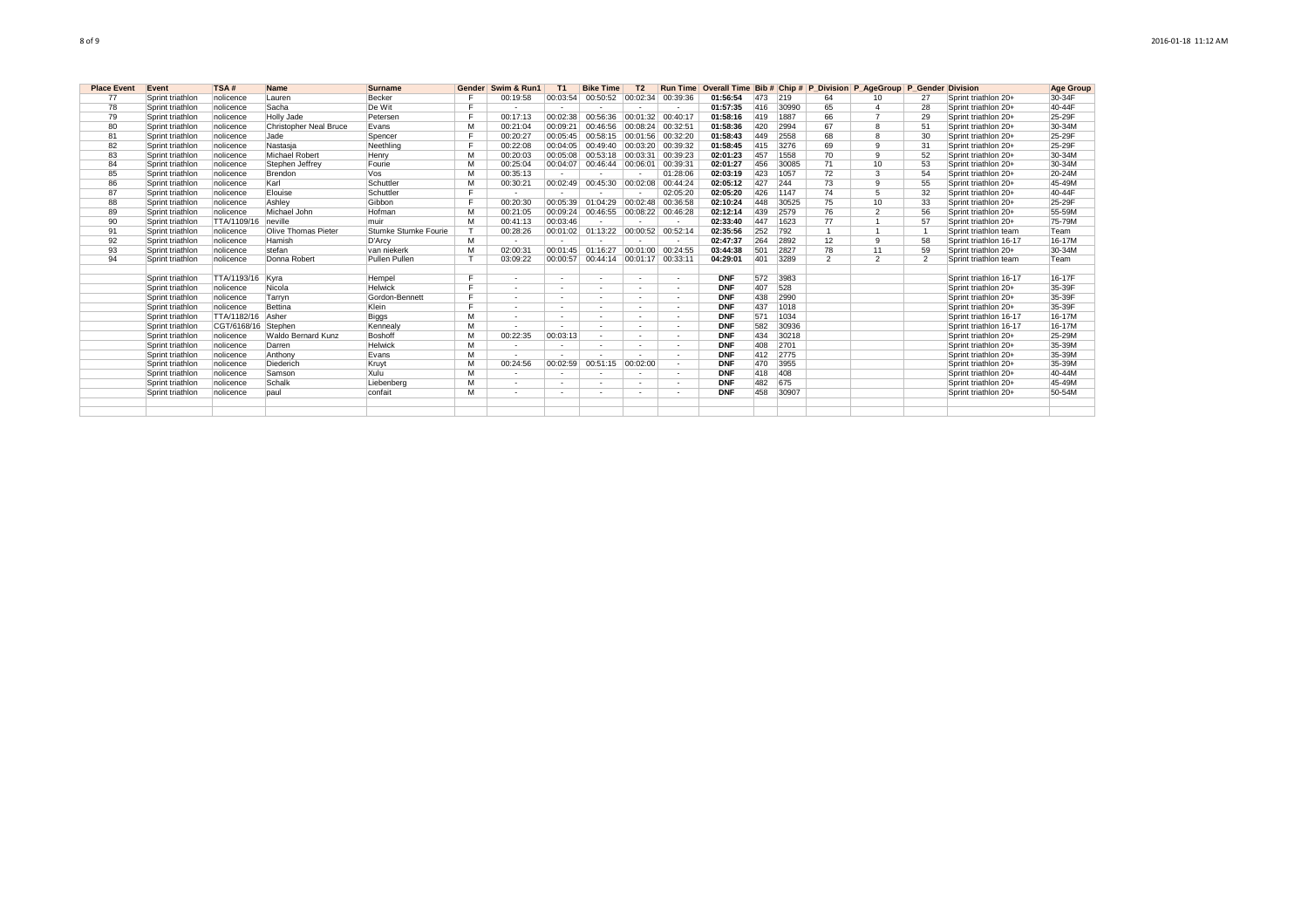| <b>Place Event</b> | Event            | TSA#             | <b>Name</b>                | <b>Surname</b>       | Gender | Swim & Run1              | T <sub>1</sub>           | <b>Bike Time</b>           | T <sub>2</sub>           |                   |            |     |       |                 | Run Time Overall Time Bib # Chip # P Division P AgeGroup P Gender Division |                          |                        | <b>Age Group</b> |
|--------------------|------------------|------------------|----------------------------|----------------------|--------|--------------------------|--------------------------|----------------------------|--------------------------|-------------------|------------|-----|-------|-----------------|----------------------------------------------------------------------------|--------------------------|------------------------|------------------|
| 77                 | Sprint triathlon | nolicence        | Lauren                     | Becker               |        | 00:19:58                 | 00:03:54                 | 00:50:52                   | 00:02:34                 | 00:39:36          | 01:56:54   | 473 | 219   | 64              | 10                                                                         | 27                       | Sprint triathlon 20+   | 30-34F           |
| 78                 | Sprint triathlon | nolicence        | Sacha                      | De Wit               |        |                          |                          |                            |                          |                   | 01:57:35   | 416 | 30990 | 65              |                                                                            | 28                       | Sprint triathlon 20+   | 40-44F           |
| 79                 | Sprint triathlon | nolicence        | Holly Jade                 | Petersen             |        | 00:17:13                 | 00:02:38                 | 00:56:36                   | 00:01:32                 | 00:40:17          | 01:58:16   | 419 | 1887  | 66              |                                                                            | 29                       | Sprint triathlon 20+   | 25-29F           |
| 80                 | Sprint triathlon | nolicence        | Christopher Neal Bruce     | Evans                | м      | 00:21:04                 | 00:09:21                 | 00:46:56                   | 00:08:24                 | 00:32:51          | 01:58:36   | 420 | 2994  | 67              | 8                                                                          | 51                       | Sprint triathlon 20+   | 30-34M           |
| 81                 | Sprint triathlon | nolicence        | Jade                       | Spencer              |        | 00:20:27                 | 00:05:45                 | 00:58:15 00:01:56 00:32:20 |                          |                   | 01:58:43   | 449 | 2558  | 68              | $\mathbf{R}$                                                               | 30                       | Sprint triathlon 20+   | 25-29F           |
| 82                 | Sprint triathlon | nolicence        | Nastasia                   | Neethling            |        | 00:22:08                 | 00:04:05                 | 00:49:40 00:03:20 00:39:32 |                          |                   | 01:58:45   | 415 | 3276  | 69              | $\mathbf{q}$                                                               | 31                       | Sprint triathlon 20+   | 25-29F           |
| 83                 | Sprint triathlon | nolicence        | Michael Robert             | Henry                | м      | 00:20:03                 | 00:05:08                 | 00:53:18 00:03:31          |                          | 00:39:23          | 02:01:23   | 457 | 1558  | 70              | q                                                                          | 52                       | Sprint triathlon 20+   | 30-34M           |
| 84                 | Sprint triathlon | nolicence        | Stephen Jeffrev            | Fourie               | M      | 00:25:04                 | 00:04:07                 | 00:46:44 00:06:01          |                          | 00:39:31          | 02:01:27   | 456 | 30085 | 71              | 10                                                                         | 53                       | Sprint triathlon 20+   | 30-34M           |
| 85                 | Sprint triathlon | nolicence        | Brendon                    | Vos                  | M      | 00:35:13                 | $\overline{\phantom{a}}$ |                            |                          | 01:28:06          | 02:03:19   | 423 | 1057  | 72              | 3                                                                          | 54                       | Sprint triathlon 20+   | 20-24M           |
| 86                 | Sprint triathlon | nolicence        | Karl                       | Schuttler            | M      | 00:30:21                 | 00:02:49                 | 00:45:30                   | 00:02:08                 | 00:44:24          | 02:05:12   | 427 | 244   | 73              | 9                                                                          | 55                       | Sprint triathlon 20+   | 45-49M           |
| 87                 | Sprint triathlon | nolicence        | Elouise                    | Schuttler            |        | $\overline{\phantom{a}}$ |                          |                            |                          | 02:05:20          | 02:05:20   | 426 | 1147  | 74              | 5                                                                          | 32                       | Sprint triathlon 20+   | 40-44F           |
| 88                 | Sprint triathlon | nolicence        | Ashlev                     | Gibbon               |        | 00:20:30                 | 00:05:39                 | 01:04:29                   |                          | 00:02:48 00:36:58 | 02:10:24   | 448 | 30525 | 75              | 10                                                                         | 33                       | Sprint triathlon 20+   | 25-29F           |
| 89                 | Sprint triathlon | nolicence        | Michael John               | Hofman               | M      | 00:21:05                 | 00:09:24                 | 00:46:55 00:08:22 00:46:28 |                          |                   | 02:12:14   | 439 | 2579  | 76              | $\sim$                                                                     | 56                       | Sprint triathlon 20+   | 55-59M           |
| 90                 | Sprint triathlon | TTA/1109/16      | neville                    | lmuir                | м      | 00:41:13                 | 00:03:46                 |                            |                          | $\sim$            | 02:33:40   | 447 | 1623  | $\overline{77}$ |                                                                            | 57                       | Sprint triathlon 20+   | 75-79M           |
| 91                 | Sprint triathlon | nolicence        | <b>Olive Thomas Pieter</b> | Stumke Stumke Fourie |        | 00:28:26                 | 00:01:02                 | 01:13:22                   | 00:00:52                 | 00:52:14          | 02:35:56   | 252 | 792   |                 |                                                                            |                          | Sprint triathlon team  | Team             |
| 92                 | Sprint triathlon | nolicence        | Hamish                     | D'Arcy               | м      | $\sim$                   |                          |                            |                          |                   | 02:47:37   | 264 | 2892  | 12              | q                                                                          | 58                       | Sprint triathlon 16-17 | 16-17M           |
| 93                 | Sprint triathlon | nolicence        | stefan                     | van niekerk          |        | 02:00:3                  | 00:01:45                 | 01:16:27                   | 00:01:00                 | 00:24:55          | 03:44:38   | 501 | 2827  | 78              | 11                                                                         | 59                       | Sprint triathlon 20+   | 30-34M           |
| 94                 | Sprint triathlon | nolicence        | Donna Robert               | Pullen Pullen        |        | 03:09:22                 | 00:00:57                 | 00:44:14                   | 00:01:17 00:33:11        |                   | 04:29:01   | 401 | 3289  | $\overline{2}$  | $\overline{\phantom{0}}$                                                   | $\overline{\phantom{0}}$ | Sprint triathlon team  | Team             |
|                    |                  |                  |                            |                      |        |                          |                          |                            |                          |                   |            |     |       |                 |                                                                            |                          |                        |                  |
|                    | Sprint triathlon | TTA/1193/16 Kyra |                            | Hempel               |        |                          |                          |                            | ۰.                       | $\sim$            | <b>DNF</b> | 572 | 3983  |                 |                                                                            |                          | Sprint triathlon 16-17 | 16-17F           |
|                    | Sprint triathlon | nolicence        | Nicola                     | Helwick              |        | $\sim$                   | ٠                        | $\overline{\phantom{a}}$   | $\overline{\phantom{a}}$ | $\sim$            | <b>DNF</b> | 407 | 528   |                 |                                                                            |                          | Sprint triathlon 20+   | 35-39F           |
|                    | Sprint triathlon | nolicence        | Tarrvn                     | Gordon-Bennett       |        | $\overline{\phantom{a}}$ | $\overline{\phantom{a}}$ | $\sim$                     | $\overline{\phantom{a}}$ | $\sim$            | <b>DNF</b> | 438 | 2990  |                 |                                                                            |                          | Sprint triathlon 20+   | 35-39F           |
|                    | Sprint triathlon | nolicence        | Bettina                    | Klein                |        |                          | $\overline{\phantom{a}}$ | $\overline{\phantom{a}}$   | ٠                        |                   | <b>DNF</b> | 437 | 1018  |                 |                                                                            |                          | Sprint triathlon 20+   | 35-39F           |
|                    | Sprint triathlon | TTA/1182/16      | Asher                      | Biggs                | м      | $\overline{\phantom{a}}$ | ٠                        | $\sim$                     | $\overline{\phantom{a}}$ |                   | <b>DNF</b> | 571 | 1034  |                 |                                                                            |                          | Sprint triathlon 16-17 | 16-17M           |
|                    | Sprint triathlon | CGT/6168/16      | Stephen                    | Kennealv             | м      | $\overline{\phantom{a}}$ |                          | $\overline{\phantom{a}}$   | $\overline{\phantom{a}}$ | $\sim$            | <b>DNF</b> | 582 | 30936 |                 |                                                                            |                          | Sprint triathlon 16-17 | 16-17M           |
|                    | Sprint triathlon | nolicence        | <b>Waldo Bernard Kunz</b>  | Boshoff              | M      | 00:22:35                 | 00:03:13                 | $\overline{\phantom{a}}$   | ٠                        | $\sim$            | <b>DNF</b> | 434 | 30218 |                 |                                                                            |                          | Sprint triathlon 20+   | 25-29M           |
|                    | Sprint triathlon | nolicence        | Darren                     | <b>Helwick</b>       | M      | $\overline{\phantom{a}}$ | ٠.                       |                            | $\overline{\phantom{a}}$ |                   | <b>DNF</b> | 408 | 2701  |                 |                                                                            |                          | Sprint triathlon 20+   | 35-39M           |
|                    | Sprint triathlon | nolicence        | Anthony                    | Evans                | м      |                          |                          |                            | ۰.                       |                   | <b>DNF</b> | 412 | 2775  |                 |                                                                            |                          | Sprint triathlon 20+   | 35-39M           |
|                    | Sprint triathlon | nolicence        | Diederich                  | Kruvt                | м      | 00:24:56                 | 00:02:59                 | 00:51:15                   | 00:02:00                 |                   | <b>DNF</b> | 470 | 3955  |                 |                                                                            |                          | Sprint triathlon 20+   | 35-39M           |
|                    | Sprint triathlon | nolicence        | Samson                     | Xulu                 | м      | $\overline{\phantom{a}}$ | $\overline{\phantom{a}}$ | $\overline{\phantom{a}}$   | ٠                        |                   | <b>DNF</b> | 418 | 408   |                 |                                                                            |                          | Sprint triathlon 20+   | 40-44M           |
|                    | Sprint triathlon | nolicence        | Schalk                     | Liebenberg           | M      | $\overline{\phantom{a}}$ |                          |                            | ۰.                       |                   | <b>DNF</b> | 482 | 675   |                 |                                                                            |                          | Sprint triathlon 20+   | 45-49M           |
|                    | Sprint triathlon | nolicence        | paul                       | confait              | м      | ۰                        |                          |                            | ٠                        | $\sim$            | <b>DNF</b> | 458 | 30907 |                 |                                                                            |                          | Sprint triathlon 20+   | 50-54M           |
|                    |                  |                  |                            |                      |        |                          |                          |                            |                          |                   |            |     |       |                 |                                                                            |                          |                        |                  |
|                    |                  |                  |                            |                      |        |                          |                          |                            |                          |                   |            |     |       |                 |                                                                            |                          |                        |                  |